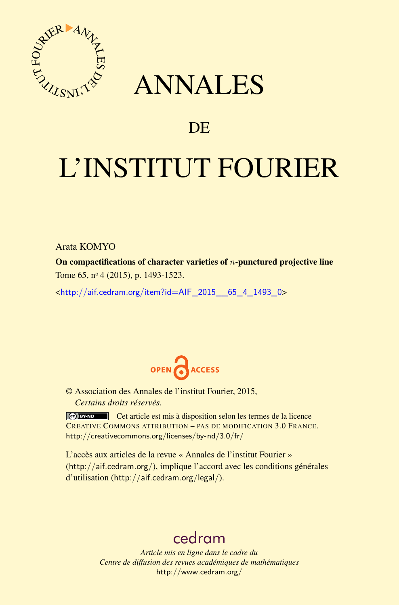

## ANNALES

## **DE**

# L'INSTITUT FOURIER

Arata KOMYO

On compactifications of character varieties of *n*-punctured projective line Tome 65, nº 4 (2015), p. 1493-1523.

 $\kappa$ http://aif.cedram.org/item?id=AIF 2015 65 4 1493 0>



© Association des Annales de l'institut Fourier, 2015, *Certains droits réservés.*

Cet article est mis à disposition selon les termes de la licence CREATIVE COMMONS ATTRIBUTION – PAS DE MODIFICATION 3.0 FRANCE. <http://creativecommons.org/licenses/by-nd/3.0/fr/>

L'accès aux articles de la revue « Annales de l'institut Fourier » (<http://aif.cedram.org/>), implique l'accord avec les conditions générales d'utilisation (<http://aif.cedram.org/legal/>).

## [cedram](http://www.cedram.org/)

*Article mis en ligne dans le cadre du Centre de diffusion des revues académiques de mathématiques* <http://www.cedram.org/>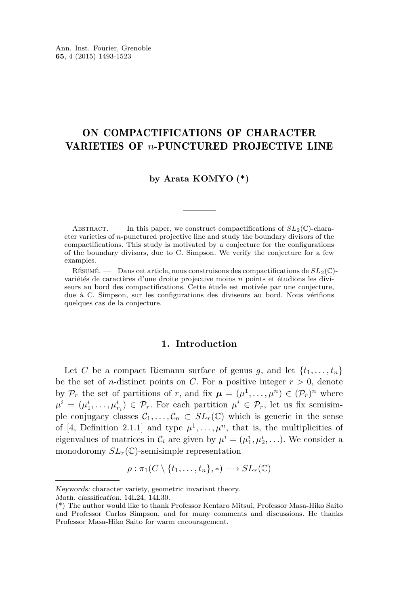#### ON COMPACTIFICATIONS OF CHARACTER VARIETIES OF *n*-PUNCTURED PROJECTIVE LINE

#### **by Arata KOMYO (\*)**

ABSTRACT. — In this paper, we construct compactifications of  $SL_2(\mathbb{C})$ -character varieties of *n*-punctured projective line and study the boundary divisors of the compactifications. This study is motivated by a conjecture for the configurations of the boundary divisors, due to C. Simpson. We verify the conjecture for a few examples.

Résumé. — Dans cet article, nous construisons des compactifications de *SL*2(C) variétés de caractères d'une droite projective moins *n* points et étudions les diviseurs au bord des compactifications. Cette étude est motivée par une conjecture, due à C. Simpson, sur les configurations des diviseurs au bord. Nous vérifions quelques cas de la conjecture.

#### **1. Introduction**

Let *C* be a compact Riemann surface of genus *g*, and let  $\{t_1, \ldots, t_n\}$ be the set of *n*-distinct points on *C*. For a positive integer  $r > 0$ , denote by  $\mathcal{P}_r$  the set of partitions of *r*, and fix  $\mu = (\mu^1, \dots, \mu^n) \in (\mathcal{P}_r)^n$  where  $\mu^{i} = (\mu_{1}^{i}, \ldots, \mu_{r_{i}}^{i}) \in \mathcal{P}_{r}$ . For each partition  $\mu^{i} \in \mathcal{P}_{r}$ , let us fix semisimple conjugacy classes  $\mathcal{C}_1, \ldots, \mathcal{C}_n \subset SL_r(\mathbb{C})$  which is generic in the sense of [\[4,](#page-30-0) Definition 2.1.1] and type  $\mu^1, \ldots, \mu^n$ , that is, the multiplicities of eigenvalues of matrices in  $\mathcal{C}_i$  are given by  $\mu^i = (\mu_1^i, \mu_2^i, \ldots)$ . We consider a monodoromy  $SL_r(\mathbb{C})$ -semisimple representation

$$
\rho: \pi_1(C \setminus \{t_1, \ldots, t_n\}, *) \longrightarrow SL_r(\mathbb{C})
$$

Keywords: character variety, geometric invariant theory.

Math. classification: 14L24, 14L30.

<sup>(\*)</sup> The author would like to thank Professor Kentaro Mitsui, Professor Masa-Hiko Saito and Professor Carlos Simpson, and for many comments and discussions. He thanks Professor Masa-Hiko Saito for warm encouragement.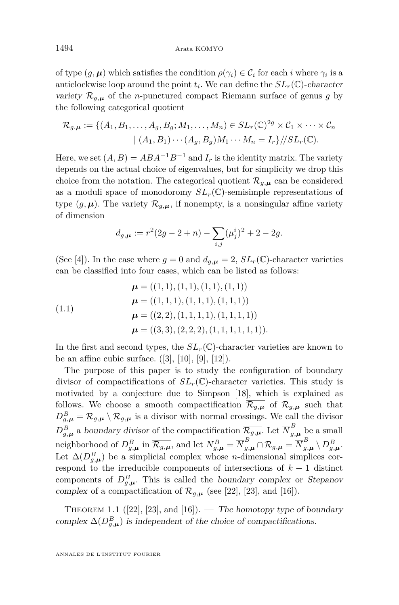of type  $(g, \mu)$  which satisfies the condition  $\rho(\gamma_i) \in \mathcal{C}_i$  for each *i* where  $\gamma_i$  is a anticlockwise loop around the point  $t_i$ . We can define the  $SL_r(\mathbb{C})$ -character variety  $\mathcal{R}_{g,\mu}$  of the *n*-punctured compact Riemann surface of genus *g* by the following categorical quotient

$$
\mathcal{R}_{g,\mu} := \{ (A_1, B_1, \dots, A_g, B_g; M_1, \dots, M_n) \in SL_r(\mathbb{C})^{2g} \times C_1 \times \dots \times C_n
$$
  

$$
| (A_1, B_1) \cdots (A_g, B_g) M_1 \cdots M_n = I_r \} / \! / SL_r(\mathbb{C}).
$$

Here, we set  $(A, B) = ABA^{-1}B^{-1}$  and  $I_r$  is the identity matrix. The variety depends on the actual choice of eigenvalues, but for simplicity we drop this choice from the notation. The categorical quotient  $\mathcal{R}_{g,\mu}$  can be considered as a moduli space of monodoromy  $SL_r(\mathbb{C})$ -semisimple representations of type  $(g, \mu)$ . The variety  $\mathcal{R}_{g,\mu}$ , if nonempty, is a nonsingular affine variety of dimension

$$
d_{g,\mu} := r^2(2g - 2 + n) - \sum_{i,j} (\mu_j^i)^2 + 2 - 2g.
$$

(See [\[4\]](#page-30-0)). In the case where  $g = 0$  and  $d_{g,\mu} = 2$ ,  $SL_r(\mathbb{C})$ -character varieties can be classified into four cases, which can be listed as follows:

(1.1)  
\n
$$
\mu = ((1, 1), (1, 1), (1, 1), (1, 1))
$$
\n
$$
\mu = ((1, 1, 1), (1, 1, 1), (1, 1, 1))
$$
\n
$$
\mu = ((2, 2), (1, 1, 1, 1), (1, 1, 1, 1))
$$
\n
$$
\mu = ((3, 3), (2, 2, 2), (1, 1, 1, 1, 1, 1)).
$$

In the first and second types, the  $SL_r(\mathbb{C})$ -character varieties are known to be an affine cubic surface.  $([3], [10], [9], [12])$  $([3], [10], [9], [12])$  $([3], [10], [9], [12])$  $([3], [10], [9], [12])$  $([3], [10], [9], [12])$  $([3], [10], [9], [12])$  $([3], [10], [9], [12])$  $([3], [10], [9], [12])$  $([3], [10], [9], [12])$ .

The purpose of this paper is to study the configuration of boundary divisor of compactifications of  $SL_r(\mathbb{C})$ -character varieties. This study is motivated by a conjecture due to Simpson [\[18\]](#page-30-0), which is explained as follows. We choose a smooth compactification  $\overline{\mathcal{R}_{g,\mu}}$  of  $\mathcal{R}_{g,\mu}$  such that  $D_{g,\mu}^B = \overline{\mathcal{R}_{g,\mu}} \setminus \mathcal{R}_{g,\mu}$  is a divisor with normal crossings. We call the divisor  $D_{g,\mu}^B$  a boundary divisor of the compactification  $\overline{\mathcal{R}_{g,\mu}}$ . Let  $\overline{N}_{g,\mu}^B$  be a small neighborhood of  $D_{g,\mu}^B$  in  $\overline{\mathcal{R}_{g,\mu}}$ , and let  $N_{g,\mu}^B = \overline{N}_{g,\mu}^B \cap \mathcal{R}_{g,\mu} = \overline{N}_{g,\mu}^B \setminus D_{g,\mu}^B$ . Let  $\Delta(D_{g,\mu}^B)$  be a simplicial complex whose *n*-dimensional simplices correspond to the irreducible components of intersections of  $k + 1$  distinct components of  $D_{g,\mu}^B$ . This is called the boundary complex or Stepanov complex of a compactification of  $\mathcal{R}_{q,\mu}$  (see [\[22\]](#page-30-0), [\[23\]](#page-31-0), and [\[16\]](#page-30-0)).

THEOREM 1.1 ([\[22\]](#page-30-0), [\[23\]](#page-31-0), and [\[16\]](#page-30-0)). — The homotopy type of boundary complex  $\Delta(D_{g,\mu}^B)$  is independent of the choice of compactifications.

<span id="page-2-0"></span>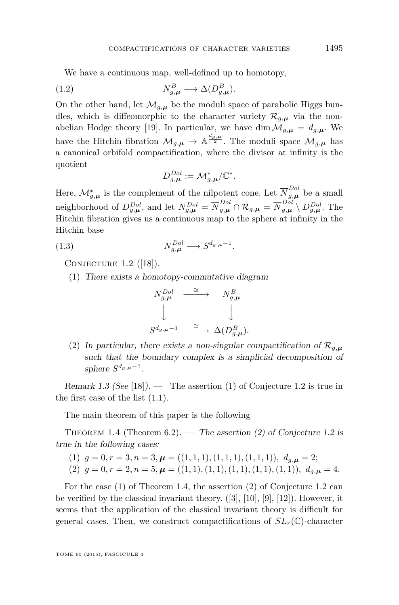<span id="page-3-0"></span>We have a continuous map, well-defined up to homotopy,

(1.2) 
$$
N_{g,\mu}^B \longrightarrow \Delta(D_{g,\mu}^B).
$$

On the other hand, let  $\mathcal{M}_{g,\mu}$  be the moduli space of parabolic Higgs bundles, which is diffeomorphic to the character variety  $\mathcal{R}_{g,\mu}$  via the non-abelian Hodge theory [\[19\]](#page-30-0). In particular, we have dim  $\mathcal{M}_{g,\mu} = d_{g,\mu}$ . We have the Hitchin fibration  $\mathcal{M}_{g,\mu} \to \mathbb{A}^{\frac{d_{g,\mu}}{2}}$ . The moduli space  $\mathcal{M}_{g,\mu}$  has a canonical orbifold compactification, where the divisor at infinity is the quotient

$$
D^{Dol}_{g, \boldsymbol \mu} := \mathcal M^*_{g, \boldsymbol \mu}/\mathbb C^*.
$$

Here,  $\mathcal{M}_{g,\mu}^{*}$  is the complement of the nilpotent cone. Let  $\overline{N}_{g,\mu}^{Dol}$  be a small neighborhood of  $D_{g,\mu}^{Dol}$ , and let  $N_{g,\mu}^{Dol} = \overline{N}_{g,\mu}^{Dol} \cap \mathcal{R}_{g,\mu} = \overline{N}_{g,\mu}^{Dol} \setminus D_{g,\mu}^{Dol}$ . The Hitchin fibration gives us a continuous map to the sphere at infinity in the Hitchin base

(1.3) 
$$
N_{g,\mu}^{Dol} \longrightarrow S^{d_g,\mu-1}.
$$

CONJECTURE  $1.2$  ([\[18\]](#page-30-0)).

(1) There exists a homotopy-commutative diagram



(2) In particular, there exists a non-singular compactification of  $\mathcal{R}_{g,\mu}$ such that the boundary complex is a simplicial decomposition of sphere  $S^{d_{g,\mu}-1}$ .

Remark 1.3 (See [\[18\]](#page-30-0)). — The assertion (1) of Conjecture 1.2 is true in the first case of the list [\(1.1\)](#page-2-0).

The main theorem of this paper is the following

THEOREM 1.4 (Theorem [6.2\)](#page-22-0). — The assertion (2) of Conjecture 1.2 is true in the following cases:

(1) 
$$
g = 0, r = 3, n = 3, \mu = ((1, 1, 1), (1, 1, 1), (1, 1, 1)), d_{g,\mu} = 2;
$$
  
(2)  $g = 0, r = 2, n = 5, \mu = ((1, 1), (1, 1), (1, 1), (1, 1), (1, 1)), d_{g,\mu} = 4.$ 

For the case (1) of Theorem 1.4, the assertion (2) of Conjecture 1.2 can be verified by the classical invariant theory.  $([3], [10], [9], [12])$  $([3], [10], [9], [12])$  $([3], [10], [9], [12])$  $([3], [10], [9], [12])$  $([3], [10], [9], [12])$  $([3], [10], [9], [12])$  $([3], [10], [9], [12])$  $([3], [10], [9], [12])$  $([3], [10], [9], [12])$ . However, it seems that the application of the classical invariant theory is difficult for general cases. Then, we construct compactifications of  $SL_r(\mathbb{C})$ -character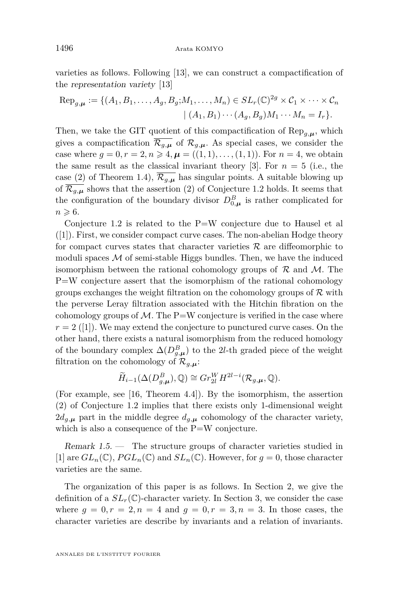varieties as follows. Following [\[13\]](#page-30-0), we can construct a compactification of the representation variety [\[13\]](#page-30-0)

$$
\operatorname{Rep}_{g,\mu} := \{ (A_1, B_1, \dots, A_g, B_g; M_1, \dots, M_n) \in SL_r(\mathbb{C})^{2g} \times C_1 \times \dots \times C_n
$$

$$
| (A_1, B_1) \cdots (A_g, B_g) M_1 \cdots M_n = I_r \}.
$$

Then, we take the GIT quotient of this compactification of  $\text{Rep}_{q,\mu}$ , which gives a compactification  $\overline{\mathcal{R}_{g,\mu}}$  of  $\mathcal{R}_{g,\mu}$ . As special cases, we consider the case where  $g = 0, r = 2, n \ge 4, \mu = ((1, 1), \ldots, (1, 1))$ . For  $n = 4$ , we obtain the same result as the classical invariant theory [\[3\]](#page-30-0). For  $n = 5$  (i.e., the case (2) of Theorem [1.4\)](#page-3-0),  $\overline{\mathcal{R}_{q,\mu}}$  has singular points. A suitable blowing up of  $\overline{\mathcal{R}_{g,\mu}}$  shows that the assertion (2) of Conjecture [1.2](#page-3-0) holds. It seems that the configuration of the boundary divisor  $D_{0,\mu}^B$  is rather complicated for  $n \geqslant 6.$ 

Conjecture [1.2](#page-3-0) is related to the P=W conjecture due to Hausel et al ([\[1\]](#page-29-0)). First, we consider compact curve cases. The non-abelian Hodge theory for compact curves states that character varieties  $\mathcal R$  are diffeomorphic to moduli spaces  $\mathcal M$  of semi-stable Higgs bundles. Then, we have the induced isomorphism between the rational cohomology groups of  $\mathcal R$  and  $\mathcal M$ . The P=W conjecture assert that the isomorphism of the rational cohomology groups exchanges the weight filtration on the cohomology groups of  $\mathcal R$  with the perverse Leray filtration associated with the Hitchin fibration on the cohomology groups of  $\mathcal{M}$ . The P=W conjecture is verified in the case where  $r = 2$  ([\[1\]](#page-29-0)). We may extend the conjecture to punctured curve cases. On the other hand, there exists a natural isomorphism from the reduced homology of the boundary complex  $\Delta(D_{g,\mu}^B)$  to the 2*l*-th graded piece of the weight filtration on the cohomology of  $\mathcal{R}_{g,\mu}$ :

$$
\widetilde{H}_{i-1}(\Delta(D_{g,\mu}^B),\mathbb{Q}) \cong Gr_{2l}^W H^{2l-i}(\mathcal{R}_{g,\mu},\mathbb{Q}).
$$

(For example, see [\[16,](#page-30-0) Theorem 4.4]). By the isomorphism, the assertion (2) of Conjecture [1.2](#page-3-0) implies that there exists only 1-dimensional weight  $2d_{g,\mu}$  part in the middle degree  $d_{g,\mu}$  cohomology of the character variety, which is also a consequence of the  $P=W$  conjecture.

Remark 1.5. — The structure groups of character varieties studied in [\[1\]](#page-29-0) are  $GL_n(\mathbb{C})$ ,  $PGL_n(\mathbb{C})$  and  $SL_n(\mathbb{C})$ . However, for  $g=0$ , those character varieties are the same.

The organization of this paper is as follows. In Section 2, we give the definition of a  $SL_r(\mathbb{C})$ -character variety. In Section 3, we consider the case where  $g = 0, r = 2, n = 4$  and  $g = 0, r = 3, n = 3$ . In those cases, the character varieties are describe by invariants and a relation of invariants.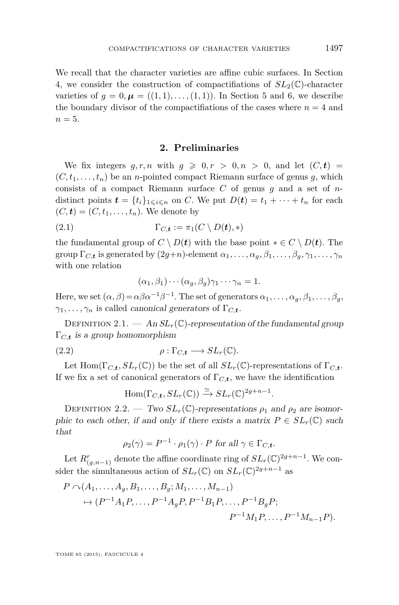We recall that the character varieties are affine cubic surfaces. In Section 4, we consider the construction of compactifiations of  $SL_2(\mathbb{C})$ -character varieties of  $g = 0, \mu = ((1, 1), \ldots, (1, 1))$ . In Section 5 and 6, we describe the boundary divisor of the compactifiations of the cases where  $n = 4$  and  $n=5$ .

#### **2. Preliminaries**

We fix integers  $q, r, n$  with  $q \geq 0, r > 0, n > 0$ , and let  $(C, t)$  $(C, t_1, \ldots, t_n)$  be an *n*-pointed compact Riemann surface of genus *g*, which consists of a compact Riemann surface *C* of genus *g* and a set of *n*distinct points  $\mathbf{t} = \{t_i\}_{1 \leq i \leq n}$  on *C*. We put  $D(\mathbf{t}) = t_1 + \cdots + t_n$  for each  $(C, t) = (C, t_1, \ldots, t_n)$ . We denote by

(2.1) 
$$
\Gamma_{C,\mathbf{t}} := \pi_1(C \setminus D(\mathbf{t}), *)
$$

the fundamental group of  $C \setminus D(t)$  with the base point  $* \in C \setminus D(t)$ . The group  $\Gamma_{C,\mathbf{t}}$  is generated by  $(2g+n)$ -element  $\alpha_1, \ldots, \alpha_g, \beta_1, \ldots, \beta_g, \gamma_1, \ldots, \gamma_n$ with one relation

$$
(\alpha_1, \beta_1) \cdots (\alpha_g, \beta_g) \gamma_1 \cdots \gamma_n = 1.
$$

Here, we set  $(\alpha, \beta) = \alpha \beta \alpha^{-1} \beta^{-1}$ . The set of generators  $\alpha_1, \ldots, \alpha_g, \beta_1, \ldots, \beta_g$ ,  $\gamma_1, \ldots, \gamma_n$  is called *canonical generators* of  $\Gamma_{C,\mathbf{t}}$ .

DEFINITION 2.1.  $-$  An  $SL_r(\mathbb{C})$ -representation of the fundamental group Γ*C,<sup>t</sup>* is a group homomorphism

(2.2) 
$$
\rho : \Gamma_{C,\mathbf{t}} \longrightarrow SL_r(\mathbb{C}).
$$

Let Hom( $\Gamma_{C,t}$ ,  $SL_r(\mathbb{C})$ ) be the set of all  $SL_r(\mathbb{C})$ -representations of  $\Gamma_{C,t}$ . If we fix a set of canonical generators of  $\Gamma_{C,\boldsymbol{t}}$ , we have the identification

$$
\mathrm{Hom}(\Gamma_{C,\mathbf{t}},SL_r(\mathbb{C})) \xrightarrow{\simeq} SL_r(\mathbb{C})^{2g+n-1}.
$$

DEFINITION 2.2. — Two  $SL_r(\mathbb{C})$ -representations  $\rho_1$  and  $\rho_2$  are isomorphic to each other, if and only if there exists a matrix  $P \in SL_r(\mathbb{C})$  such that

$$
\rho_2(\gamma) = P^{-1} \cdot \rho_1(\gamma) \cdot P \text{ for all } \gamma \in \Gamma_{C,\mathbf{t}}.
$$

Let  $R^r_{(g,n-1)}$  denote the affine coordinate ring of  $SL_r(\mathbb{C})^{2g+n-1}$ . We consider the simultaneous action of  $SL_r(\mathbb{C})$  on  $SL_r(\mathbb{C})^{2g+n-1}$  as

$$
P \cap (A_1, ..., A_g, B_1, ..., B_g; M_1, ..., M_{n-1})
$$
  
\n
$$
\rightarrow (P^{-1}A_1P, ..., P^{-1}A_gP, P^{-1}B_1P, ..., P^{-1}B_gP;
$$
  
\n
$$
P^{-1}M_1P, ..., P^{-1}M_{n-1}P).
$$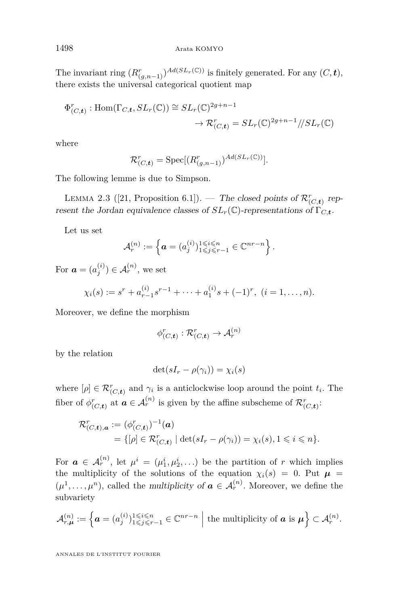The invariant ring  $(R^r_{(g,n-1)})^{Ad(SL_r(\mathbb{C}))}$  is finitely generated. For any  $(C, \mathbf{t})$ , there exists the universal categorical quotient map

$$
\Phi^r_{(C,\mathbf{t})}: \text{Hom}(\Gamma_{C,\mathbf{t}}, SL_r(\mathbb{C})) \cong SL_r(\mathbb{C})^{2g+n-1}
$$

$$
\to \mathcal{R}^r_{(C,\mathbf{t})} = SL_r(\mathbb{C})^{2g+n-1}/SL_r(\mathbb{C})
$$

where

$$
\mathcal{R}_{(C,\mathbf{t})}^r = \mathrm{Spec}[(R_{(g,n-1)}^r)^{Ad(SL_r(\mathbb{C}))}].
$$

The following lemme is due to Simpson.

LEMMA 2.3 ([\[21,](#page-30-0) Proposition 6.1]). — The closed points of  $\mathcal{R}_{(C,\mathbf{t})}^r$  represent the Jordan equivalence classes of  $SL_r(\mathbb{C})$ -representations of  $\Gamma_{C,\mathbf{t}}$ .

Let us set

$$
\mathcal{A}_r^{(n)} := \left\{ \boldsymbol{a} = (a_j^{(i)})_{1 \leq j \leq r-1}^{1 \leq i \leq n} \in \mathbb{C}^{nr-n} \right\}.
$$

For  $\boldsymbol{a} = (a_j^{(i)}) \in A_r^{(n)}$ , we set

$$
\chi_i(s) := s^r + a_{r-1}^{(i)} s^{r-1} + \dots + a_1^{(i)} s + (-1)^r, \ (i = 1, \dots, n).
$$

Moreover, we define the morphism

$$
\phi^r_{(C,\mathbf{t})} : \mathcal{R}^r_{(C,\mathbf{t})} \to \mathcal{A}_r^{(n)}
$$

by the relation

$$
\det(sI_r - \rho(\gamma_i)) = \chi_i(s)
$$

where  $[\rho] \in \mathcal{R}_{(C,\boldsymbol{t})}^r$  and  $\gamma_i$  is a anticlockwise loop around the point  $t_i$ . The fiber of  $\phi^r_{(C,\boldsymbol{t})}$  at  $\boldsymbol{a} \in \mathcal{A}_r^{(n)}$  is given by the affine subscheme of  $\mathcal{R}^r_{(C,\boldsymbol{t})}$ :

$$
\mathcal{R}_{(C,t),a}^r := (\phi_{(C,t)}^r)^{-1}(a) \n= \{ [\rho] \in \mathcal{R}_{(C,t)}^r \mid \det(sI_r - \rho(\gamma_i)) = \chi_i(s), 1 \leq i \leq n \}.
$$

For  $a \in \mathcal{A}_r^{(n)}$ , let  $\mu^i = (\mu_1^i, \mu_2^i, \ldots)$  be the partition of *r* which implies the multiplicity of the solutions of the equation  $\chi_i(s) = 0$ . Put  $\mu =$  $(\mu^1, \ldots, \mu^n)$ , called the multiplicity of  $a \in A_r^{(n)}$ . Moreover, we define the subvariety

$$
\mathcal{A}_{r,\mu}^{(n)} := \left\{ \boldsymbol{a} = (a_j^{(i)})_{1 \leq j \leq r-1}^{1 \leq i \leq n} \in \mathbb{C}^{nr-n} \mid \text{the multiplicity of } \boldsymbol{a} \text{ is } \boldsymbol{\mu} \right\} \subset \mathcal{A}_r^{(n)}.
$$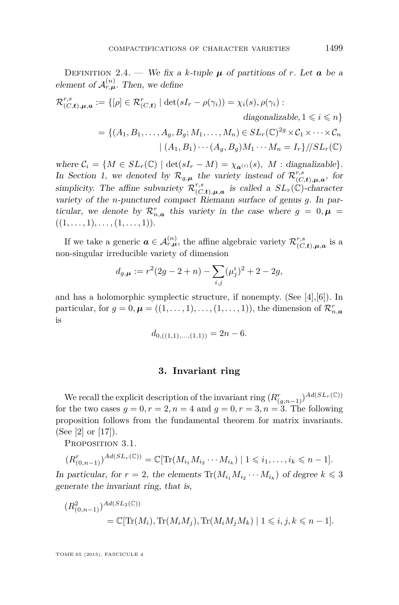DEFINITION 2.4. — We fix a *k*-tuple  $\mu$  of partitions of *r*. Let **a** be a element of  $\mathcal{A}_{r,\mu}^{(n)}$ . Then, we define

$$
\mathcal{R}_{(C,t),\mu,a}^{r,s} := \{ [\rho] \in \mathcal{R}_{(C,t)}^r \mid \det(sI_r - \rho(\gamma_i)) = \chi_i(s), \rho(\gamma_i) : \ndiagonalizable, 1 \leq i \leq n \} \n= \{ (A_1, B_1, \dots, A_g, B_g; M_1, \dots, M_n) \in SL_r(\mathbb{C})^{2g} \times C_1 \times \dots \times C_n \n| (A_1, B_1) \cdots (A_g, B_g) M_1 \cdots M_n = I_r \} / \langle SL_r(\mathbb{C}) \rangle
$$

where  $C_i = \{M \in SL_r(\mathbb{C}) \mid \det(sI_r - M) = \chi_{\mathbf{a}^{(i)}}(s), M : \text{diagonalizable}\}.$ In Section 1, we denoted by  $\mathcal{R}_{g,\mu}$  the variety instead of  $\mathcal{R}_{(C,\mathbf{t}),\mu,\mathbf{a}}^{r,s}$ , for  $^{\prime}(C,\boldsymbol{t}),\boldsymbol{\mu},\boldsymbol{a}$ simplicity. The affine subvariety  $\mathcal{R}_{CC}^{r,s}$  $\mathcal{L}^{r,s}_{(C,\boldsymbol{t}),\boldsymbol{\mu},\boldsymbol{a}}$  is called a  $SL_r(\mathbb{C})$ -character variety of the *n*-punctured compact Riemann surface of genus *g*. In particular, we denote by  $\mathcal{R}_{n,\mathbf{a}}^r$  this variety in the case where  $g = 0, \mathbf{\mu} =$  $((1, \ldots, 1), \ldots, (1, \ldots, 1)).$ 

If we take a generic  $\boldsymbol{a} \in \mathcal{A}_{r,\boldsymbol{\mu}}^{(n)}$ , the affine algebraic variety  $\mathcal{R}_{CC}^{r,s}$  $_{(C,\boldsymbol{t}),\boldsymbol{\mu},\boldsymbol{a}}^{r,s}$  is a non-singular irreducible variety of dimension

$$
d_{g,\mu} := r^2(2g - 2 + n) - \sum_{i,j} (\mu_j^i)^2 + 2 - 2g,
$$

and has a holomorphic symplectic structure, if nonempty. (See  $[4],[6]$  $[4],[6]$  $[4],[6]$ ). In particular, for  $g = 0$ ,  $\boldsymbol{\mu} = ((1, \ldots, 1), \ldots, (1, \ldots, 1)),$  the dimension of  $\mathcal{R}_{n, \boldsymbol{a}}^r$ is

$$
d_{0,((1,1),\ldots,(1,1))} = 2n - 6.
$$

#### **3. Invariant ring**

We recall the explicit description of the invariant ring  $(R^r_{(g,n-1)})^{Ad(SL_r(\mathbb{C}))}$ for the two cases  $g = 0, r = 2, n = 4$  and  $g = 0, r = 3, n = 3$ . The following proposition follows from the fundamental theorem for matrix invariants. (See [\[2\]](#page-29-0) or [\[17\]](#page-30-0)).

PROPOSITION 3.1.

$$
(R_{(0,n-1)}^r)^{Ad(SL_r(\mathbb{C}))} = \mathbb{C}[\text{Tr}(M_{i_1}M_{i_2}\cdots M_{i_k}) \mid 1 \leq i_1,\ldots,i_k \leq n-1].
$$

In particular, for  $r = 2$ , the elements  $\text{Tr}(M_{i_1}M_{i_2}\cdots M_{i_k})$  of degree  $k \leq 3$ generate the invariant ring, that is,

$$
(R_{(0,n-1)}^2)^{Ad(SL_2(\mathbb{C}))}
$$
  
=  $\mathbb{C}[\text{Tr}(M_i), \text{Tr}(M_iM_j), \text{Tr}(M_iM_jM_k) | 1 \le i, j, k \le n-1].$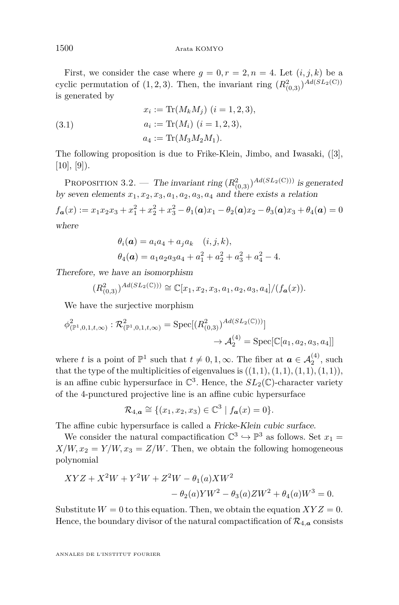First, we consider the case where  $g = 0, r = 2, n = 4$ . Let  $(i, j, k)$  be a cyclic permutation of  $(1, 2, 3)$ . Then, the invariant ring  $(R<sup>2</sup><sub>(0,3)</sub>)<sup>Ad(SL<sub>2</sub>(C))</sup>$ is generated by

(3.1) 
$$
x_i := \text{Tr}(M_k M_j) \ (i = 1, 2, 3),
$$

$$
a_i := \text{Tr}(M_i) \ (i = 1, 2, 3),
$$

$$
a_4 := \text{Tr}(M_3 M_2 M_1).
$$

The following proposition is due to Frike-Klein, Jimbo, and Iwasaki, ([\[3\]](#page-30-0),  $[10], [9]$  $[10], [9]$  $[10], [9]$ .

PROPOSITION 3.2. — The invariant ring  $(R_{(0,3)}^2)^{Ad(SL_2(C))}$  is generated by seven elements  $x_1, x_2, x_3, a_1, a_2, a_3, a_4$  and there exists a relation

 $f_{\boldsymbol{a}}(x) := x_1 x_2 x_3 + x_1^2 + x_2^2 + x_3^2 - \theta_1(\boldsymbol{a}) x_1 - \theta_2(\boldsymbol{a}) x_2 - \theta_3(\boldsymbol{a}) x_3 + \theta_4(\boldsymbol{a}) = 0$ where

$$
\theta_i(\mathbf{a}) = a_i a_4 + a_j a_k \quad (i, j, k),
$$
  

$$
\theta_4(\mathbf{a}) = a_1 a_2 a_3 a_4 + a_1^2 + a_2^2 + a_3^2 + a_4^2 - 4.
$$

Therefore, we have an isomorphism

$$
(R_{(0,3)}^2)^{Ad(SL_2(\mathbb{C})))} \cong \mathbb{C}[x_1, x_2, x_3, a_1, a_2, a_3, a_4]/(f_{\mathbf{a}}(x)).
$$

We have the surjective morphism

$$
\phi_{(\mathbb{P}^1,0,1,t,\infty)}^2 : \mathcal{R}_{(\mathbb{P}^1,0,1,t,\infty)}^2 = \text{Spec}[(R_{(0,3)}^2)^{Ad(SL_2(\mathbb{C})))}] \newline \rightarrow \mathcal{A}_2^{(4)} = \text{Spec}[\mathbb{C}[a_1,a_2,a_3,a_4]]
$$

where *t* is a point of  $\mathbb{P}^1$  such that  $t \neq 0, 1, \infty$ . The fiber at  $a \in A_2^{(4)}$ , such that the type of the multiplicities of eigenvalues is  $((1,1), (1,1), (1,1), (1,1))$ , is an affine cubic hypersurface in  $\mathbb{C}^3$ . Hence, the  $SL_2(\mathbb{C})$ -character variety of the 4-punctured projective line is an affine cubic hypersurface

$$
\mathcal{R}_{4,\mathbf{a}} \cong \{ (x_1, x_2, x_3) \in \mathbb{C}^3 \mid f_{\mathbf{a}}(x) = 0 \}.
$$

The affine cubic hypersurface is called a Fricke-Klein cubic surface.

We consider the natural compactification  $\mathbb{C}^3 \hookrightarrow \mathbb{P}^3$  as follows. Set  $x_1 =$  $X/W, x_2 = Y/W, x_3 = Z/W$ . Then, we obtain the following homogeneous polynomial

$$
XYZ + X^2W + Y^2W + Z^2W - \theta_1(a)XW^2
$$
  
-  $\theta_2(a)YW^2 - \theta_3(a)ZW^2 + \theta_4(a)W^3 = 0.$ 

Substitute  $W = 0$  to this equation. Then, we obtain the equation  $XYZ = 0$ . Hence, the boundary divisor of the natural compactification of  $\mathcal{R}_{4,\boldsymbol{a}}$  consists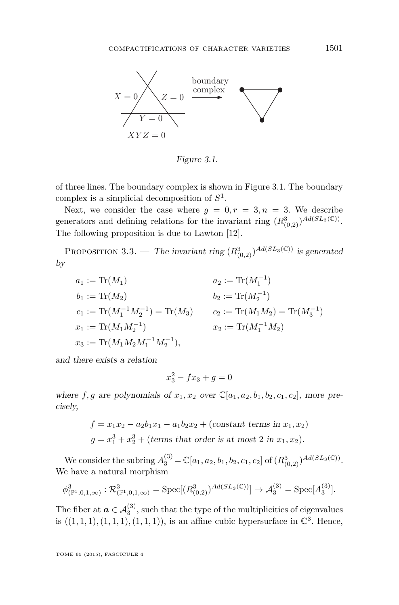

Figure 3.1.

by of three lines. The boundary complex is shown in Figure 3.1. The boundary complex is a simplicial decomposition of *S* 1 .

 $\frac{1}{2}$  in the star of the case where  $g = 0, r = 3, n = 3$ . We describe generators and defining relations for the invariant ring  $(R_{(0,2)}^3)^{Ad(SL_3(\mathbb{C}))}$ . The following proposition is due to Lawton [\[12\]](#page-30-0).

PROPOSITION 3.3. — The invariant ring  $(R_{(0,2)}^3)^{Ad(SL_3(\mathbb{C}))}$  is generated by

$$
a_1 := \text{Tr}(M_1)
$$
\n
$$
b_1 := \text{Tr}(M_2)
$$
\n
$$
b_2 := \text{Tr}(M_2^{-1})
$$
\n
$$
b_3 := \text{Tr}(M_1^{-1}M_2^{-1}) = \text{Tr}(M_3)
$$
\n
$$
b_4 := \text{Tr}(M_1^{-1}M_2^{-1}) = \text{Tr}(M_3)
$$
\n
$$
c_5 := \text{Tr}(M_1M_2) = \text{Tr}(M_3^{-1})
$$
\n
$$
x_1 := \text{Tr}(M_1M_2^{-1})
$$
\n
$$
x_2 := \text{Tr}(M_1^{-1}M_2)
$$
\n
$$
x_3 := \text{Tr}(M_1M_2M_1^{-1}M_2^{-1}),
$$

and there exists a relation

$$
x_3^2 - fx_3 + g = 0
$$

where  $f, g$  are polynomials of  $x_1, x_2$  over  $\mathbb{C}[a_1, a_2, b_1, b_2, c_1, c_2]$ , more precisely,

$$
f = x_1x_2 - a_2b_1x_1 - a_1b_2x_2 + \text{(constant terms in } x_1, x_2)
$$
  

$$
g = x_1^3 + x_2^3 + \text{(terms that order is at most 2 in } x_1, x_2).
$$

 $\binom{3}{2}$  character variety of the 3-punctured projective line is an affine is an affine is an affine is an affine is an affine is an affine is an affine is an affine is an affine is an affine is an affine is an affine i We consider the subring  $A_3^{(3)} = \mathbb{C}[a_1, a_2, b_1, b_2, c_1, c_2]$  of  $(R_{(0,2)}^3)^{Ad(SL_3(\mathbb{C}))}$ . We have a natural morphism

$$
\phi^3_{(\mathbb{P}^1,0,1,\infty)} : \mathcal{R}^3_{(\mathbb{P}^1,0,1,\infty)} = \text{Spec}[(R^3_{(0,2)})^{Ad(SL_3(\mathbb{C}))}] \to \mathcal{A}_3^{(3)} = \text{Spec}[A_3^{(3)}].
$$

The fiber at  $a \in A_3^{(3)}$ , such that the type of the multiplicities of eigenvalues is  $((1,1,1), (1,1,1), (1,1,1))$ , is an affine cubic hypersurface in  $\mathbb{C}^3$ . Hence,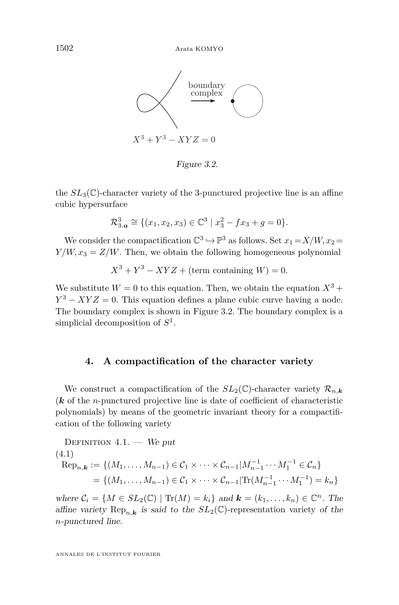

Figure 3.2.

the  $SL_3(\mathbb{C})$ -character variety of the 3-punctured projective line is an affine  $\sum_{i=1}^{n}$  cubic by parameters  $\sum_{i=1}^{n}$ cubic hypersurface

$$
\mathcal{R}_{3,\mathbf{a}}^3 \cong \{ (x_1, x_2, x_3) \in \mathbb{C}^3 \mid x_3^2 - fx_3 + g = 0 \}.
$$

 $\frac{1}{\sqrt{4\pi}}$  compactification  $\sqrt{4\pi}$  as follows,  $\cot u_1 - \Lambda$ We consider the compactification  $\mathbb{C}^3 \hookrightarrow \mathbb{P}^3$  as follows. Set  $x_1 = X/W, x_2 =$  $Y/W, x_3 = Z/W$ . Then, we obtain the following homogeneous polynomial

 $X^3 + Y^3 - XYZ +$  (term containing *W*) = 0*.* 

(k of the n-punctured projective line is date of coefficient of coefficient of coefficient of coefficient of characteristic We substitute  $W = 0$  to this equation. Then, we obtain the equation  $X^3$  +  $Y^3 - XYZ = 0$ . This equation defines a plane cubic curve having a node. simplicial decomposition of  $S^1$ . (4.1) The boundary complex is shown in Figure 3.2. The boundary complex is a

## **4.** A compactification of the character variety

We construct a compactification of the  $SL_2(\mathbb{C})$ -character variety  $\mathcal{R}_{n,k}$ (*k* of the *n*-punctured projective line is date of coefficient of characteristic polynomials) by means of the geometric invariant theory for a compactification of the following variety

DEFINITION 4.1. — We put  
\n(4.1)  
\n
$$
Rep_{n,k} := \{ (M_1, ..., M_{n-1}) \in C_1 \times \cdots \times C_{n-1} | M_{n-1}^{-1} \cdots M_1^{-1} \in C_n \}
$$
\n
$$
= \{ (M_1, ..., M_{n-1}) \in C_1 \times \cdots \times C_{n-1} | \text{Tr}(M_{n-1}^{-1} \cdots M_1^{-1}) = k_n \}
$$

where  $C_i = \{M \in SL_2(\mathbb{C}) \mid \text{Tr}(M) = k_i\}$  and  $\mathbf{k} = (k_1, \ldots, k_n) \in \mathbb{C}^n$ . The affine variety  $\text{Rep}_{n,k}$  is said to the  $SL_2(\mathbb{C})$ -representation variety of the  $n$ -punctured nne. *n*-punctured line.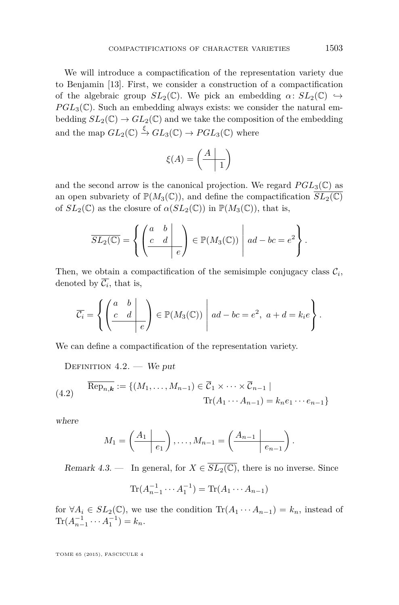We will introduce a compactification of the representation variety due to Benjamin [\[13\]](#page-30-0). First, we consider a construction of a compactification of the algebraic group  $SL_2(\mathbb{C})$ . We pick an embedding  $\alpha: SL_2(\mathbb{C}) \hookrightarrow$  $PGL_3(\mathbb{C})$ . Such an embedding always exists: we consider the natural embedding  $SL_2(\mathbb{C}) \to GL_2(\mathbb{C})$  and we take the composition of the embedding and the map  $GL_2(\mathbb{C}) \stackrel{\xi}{\rightarrow} GL_3(\mathbb{C}) \rightarrow PGL_3(\mathbb{C})$  where

$$
\xi(A)=\left(\begin{array}{c|c}A&\\ \hline &1\end{array}\right)
$$

and the second arrow is the canonical projection. We regard  $PGL_3(\mathbb{C})$  as an open subvariety of  $\mathbb{P}(M_3(\mathbb{C}))$ , and define the compactification  $\overline{SL_2(\mathbb{C})}$ of  $SL_2(\mathbb{C})$  as the closure of  $\alpha(SL_2(\mathbb{C}))$  in  $\mathbb{P}(M_3(\mathbb{C}))$ , that is,

$$
\overline{SL_2(\mathbb{C})} = \left\{ \left( \begin{array}{cc|c} a & b & b \\ c & d & e \end{array} \right) \in \mathbb{P}(M_3(\mathbb{C})) \mid ad - bc = e^2 \right\}.
$$

Then, we obtain a compactification of the semisimple conjugacy class  $\mathcal{C}_i$ , denoted by  $\mathcal{C}_i$ , that is,

$$
\overline{C_i} = \left\{ \left( \begin{array}{cc} a & b \\ c & d \end{array} \right) \in \mathbb{P}(M_3(\mathbb{C})) \mid ad - bc = e^2, \ a + d = k_i e \right\}.
$$

We can define a compactification of the representation variety.

DEFINITION  $4.2.$  – We put

(4.2) 
$$
\overline{\text{Rep}_{n,k}} := \{ (M_1, \dots, M_{n-1}) \in \overline{\mathcal{C}}_1 \times \dots \times \overline{\mathcal{C}}_{n-1} \mid \text{Tr}(A_1 \cdots A_{n-1}) = k_n e_1 \cdots e_{n-1} \}
$$

where

$$
M_1 = \left(\begin{array}{c|c} A_1 & \cdots & A_{n-1} \end{array}\right), \ldots, M_{n-1} = \left(\begin{array}{c|c} A_{n-1} & \cdots & A_{n-1} \end{array}\right).
$$

Remark 4.3. — In general, for  $X \in \overline{SL_2(\mathbb{C})}$ , there is no inverse. Since

$$
\text{Tr}(A_{n-1}^{-1} \cdots A_1^{-1}) = \text{Tr}(A_1 \cdots A_{n-1})
$$

for  $\forall A_i \in SL_2(\mathbb{C})$ , we use the condition  $\text{Tr}(A_1 \cdots A_{n-1}) = k_n$ , instead of  $\text{Tr}(A_{n-1}^{-1} \cdots A_1^{-1}) = k_n.$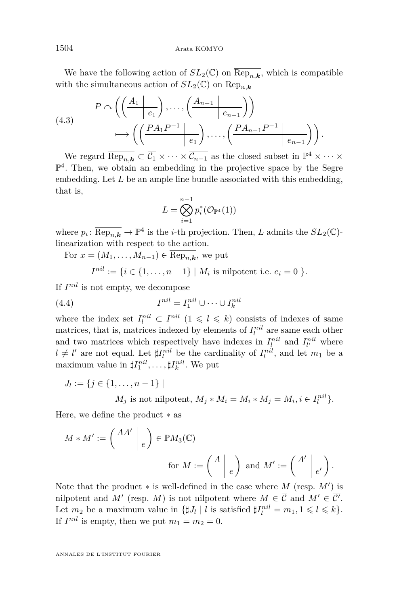<span id="page-12-0"></span>We have the following action of  $SL_2(\mathbb{C})$  on  $\text{Rep}_{n,\mathbf{k}}$ , which is compatible with the simultaneous action of  $SL_2(\mathbb{C})$  on Rep<sub>nk</sub>

(4.3)  

$$
P \cap \left( \left( \frac{A_1 \mid e_1}{e_1} \right), \dots, \left( \frac{A_{n-1} \mid e_{n-1}}{e_{n-1}} \right) \right)
$$

$$
\longmapsto \left( \left( \frac{PA_1 P^{-1} \mid e_1}{e_1} \right), \dots, \left( \frac{PA_{n-1} P^{-1} \mid e_{n-1}}{e_{n-1}} \right) \right).
$$

We regard  $\overline{\text{Rep}_{n,k}} \subset \overline{\mathcal{C}_1} \times \cdots \times \overline{\mathcal{C}_{n-1}}$  as the closed subset in  $\mathbb{P}^4 \times \cdots \times$ P 4 . Then, we obtain an embedding in the projective space by the Segre embedding. Let *L* be an ample line bundle associated with this embedding, that is,

$$
L=\bigotimes_{i=1}^{n-1}p_i^*(\mathcal{O}_{\mathbb{P}^4}(1))
$$

where  $p_i: \overline{\text{Rep}_{n,k}} \to \mathbb{P}^4$  is the *i*-th projection. Then, *L* admits the  $SL_2(\mathbb{C})$ linearization with respect to the action.

For  $x = (M_1, \ldots, M_{n-1}) \in \text{Rep}_{n,k}$ , we put

$$
I^{nil} := \{ i \in \{1, \ldots, n-1\} \mid M_i \text{ is nilpotent i.e. } e_i = 0 \}.
$$

If  $I^{nil}$  is not empty, we decompose

(4.4) 
$$
I^{nil} = I_1^{nil} \cup \cdots \cup I_k^{nil}
$$

where the index set  $I_l^{nil} \subset I^{nil}$  ( $1 \leq l \leq k$ ) consists of indexes of same matrices, that is, matrices indexed by elements of  $I_l^{nil}$  are same each other and two matrices which respectively have indexes in  $I_l^{nil}$  and  $I_{l'}^{nil}$  where  $l \neq l'$  are not equal. Let  $\sharp I_l^{nil}$  be the cardinality of  $I_l^{nil}$ , and let  $m_1$  be a maximum value in  $\sharp I_1^{nil}, \ldots, \sharp I_k^{nil}$ . We put

 $J_l := \{j \in \{1, \ldots, n-1\} \mid$ 

*M*<sup>*j*</sup> is not nilpotent,  $M_j * M_i = M_i * M_j = M_i, i \in I_l^{nil}$ .

Here, we define the product ∗ as

$$
M * M' := \left(\frac{AA'}{e}\right) \in \mathbb{P}M_3(\mathbb{C})
$$
  
for  $M := \left(\frac{A}{e}\right)$  and  $M' := \left(\frac{A'}{e'}\right)$ .

Note that the product  $*$  is well-defined in the case where  $M$  (resp.  $M'$ ) is nilpotent and *M'* (resp. *M*) is not nilpotent where  $M \in \overline{C}$  and  $M' \in \overline{C'}$ . Let  $m_2$  be a maximum value in  $\{\sharp J_l \mid l \text{ is satisfied } \sharp I_l^{nil} = m_1, 1 \leq l \leq k\}.$ If  $I^{nil}$  is empty, then we put  $m_1 = m_2 = 0$ .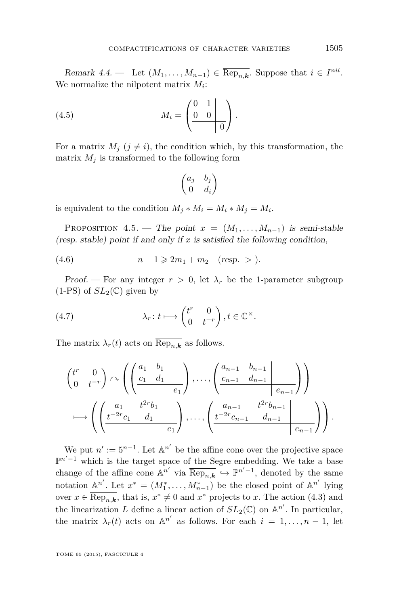<span id="page-13-0"></span>Remark  $4.4.$  — Let  $(M_1, \ldots, M_{n-1}) \in \overline{\text{Rep}_{n,k}}$ . Suppose that  $i \in I^{nil}$ . We normalize the nilpotent matrix *M<sup>i</sup>* :

(4.5) 
$$
M_i = \left(\begin{array}{cc|c} 0 & 1 & \cdots \\ 0 & 0 & \cdots \\ \hline & 0 & \end{array}\right).
$$

For a matrix  $M_i$  ( $j \neq i$ ), the condition which, by this transformation, the matrix  $M_i$  is transformed to the following form

$$
\begin{pmatrix} a_j & b_j \\ 0 & d_i \end{pmatrix}
$$

is equivalent to the condition  $M_j * M_i = M_i * M_j = M_i$ .

PROPOSITION 4.5. — The point  $x = (M_1, \ldots, M_{n-1})$  is semi-stable (resp. stable) point if and only if *x* is satisfied the following condition,

(4.6) 
$$
n-1 \ge 2m_1 + m_2
$$
 (resp. > ).

Proof. — For any integer  $r > 0$ , let  $\lambda_r$  be the 1-parameter subgroup  $(1-PS)$  of  $SL_2(\mathbb{C})$  given by

(4.7) 
$$
\lambda_r \colon t \longmapsto \begin{pmatrix} t^r & 0 \\ 0 & t^{-r} \end{pmatrix}, t \in \mathbb{C}^\times.
$$

The matrix  $\lambda_r(t)$  acts on  $\overline{\text{Rep}_{n,k}}$  as follows.

$$
\begin{pmatrix} t^r & 0 \\ 0 & t^{-r} \end{pmatrix} \sim \left( \left( \frac{a_1 & b_1}{c_1 & d_1} \right) \ldots, \left( \frac{a_{n-1} & b_{n-1}}{c_{n-1} & d_{n-1}} \right) \right) \n\longrightarrow \left( \left( \frac{a_1}{t^{-2r}c_1 & d_1} \right) \ldots, \left( \frac{a_{n-1}}{t^{-2r}c_{n-1} & d_{n-1}} \right) \right) \n\longrightarrow \left( \left( \frac{t^{-2r}c_1 & d_1}{e_1} \right) \ldots, \left( \frac{t^{-2r}c_{n-1}}{e_1} \right) \ldots, \left( \frac{t^{-2r}c_{n-1}}{e_{n-1} \cdot d_{n-1}} \right) \right).
$$

We put  $n' := 5^{n-1}$ . Let  $\mathbb{A}^{n'}$  be the affine cone over the projective space  $\mathbb{P}^{n'-1}$  which is the target space of the Segre embedding. We take a base change of the affine cone  $\mathbb{A}^{n'}$  via  $\overline{\text{Rep}_{n,k}} \hookrightarrow \mathbb{P}^{n'-1}$ , denoted by the same notation  $\mathbb{A}^{n'}$ . Let  $x^* = (M_1^*, \ldots, M_{n-1}^*)$  be the closed point of  $\mathbb{A}^{n'}$  lying over  $x \in \overline{\text{Rep}_{n,k}}$ , that is,  $x^* \neq 0$  and  $x^*$  projects to *x*. The action [\(4.3\)](#page-12-0) and the linearization *L* define a linear action of  $SL_2(\mathbb{C})$  on  $\mathbb{A}^{n'}$ . In particular, the matrix  $\lambda_r(t)$  acts on  $\mathbb{A}^{n'}$  as follows. For each  $i = 1, ..., n - 1$ , let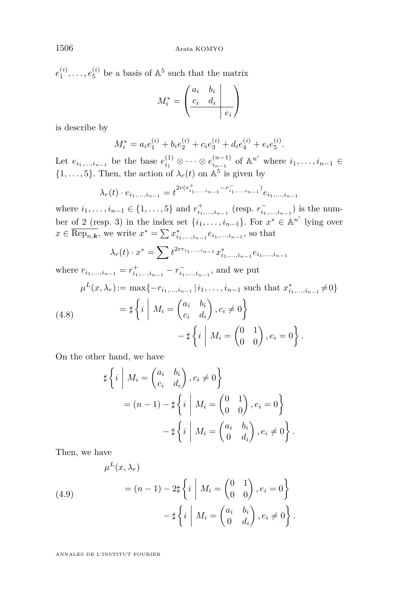$e_1^{(i)}, \ldots, e_5^{(i)}$  be a basis of  $\mathbb{A}^5$  such that the matrix

$$
M_i^* = \left(\begin{array}{cc|cc} a_i & b_i & & \\ \hline c_i & d_i & & \\ \hline & & e_i & \end{array}\right)
$$

is describe by

$$
M_i^* = a_i e_1^{(i)} + b_i e_2^{(i)} + c_i e_3^{(i)} + d_i e_4^{(i)} + e_i e_5^{(i)}.
$$

Let  $e_{i_1,...,i_{n-1}}$  be the base  $e_{i_1}^{(1)} \otimes \cdots \otimes e_{i_{n-1}}^{(n-1)}$  $\binom{(n-1)}{i_{n-1}}$  of A<sup>n'</sup> where  $i_1, \ldots, i_{n-1}$  ∈  $\{1, \ldots, 5\}$ . Then, the action of  $\lambda_r(t)$  on  $\mathbb{A}^5$  is given by

$$
\lambda_r(t) \cdot e_{i_1, \dots, i_{n-1}} = t^{2r(r_{i_1, \dots, i_{n-1}}^+ - r_{i_1, \dots, i_{n-1}}^-)} e_{i_1, \dots, i_{n-1}}
$$

where  $i_1, \ldots, i_{n-1} \in \{1, \ldots, 5\}$  and  $r^+_{i_1, \ldots, i_{n-1}}$  (resp.  $r^-_{i_1, \ldots, i_{n-1}}$ ) is the number of 2 (resp. 3) in the index set  $\{i_1, \ldots, i_{n-1}\}$ . For  $x^* \in \mathbb{A}^{n'}$  lying over  $x \in \overline{\text{Rep}_{n,k}}$ , we write  $x^* = \sum x^*_{i_1,...,i_{n-1}} e_{i_1,...,i_{n-1}}$ , so that

$$
\lambda_r(t) \cdot x^* = \sum t^{2rr_{i_1,...,i_{n-1}}} x^*_{i_1,...,i_{n-1}} e_{i_1,...,i_{n-1}}
$$

where  $r_{i_1,...,i_{n-1}} = r^+_{i_1,...,i_{n-1}} - r^-_{i_1,...,i_{n-1}}$ , and we put

$$
\mu^{L}(x,\lambda_{r}) := \max\{-r_{i_{1},...,i_{n-1}}|i_{1},...,i_{n-1}|\text{ such that }x_{i_{1},...,i_{n-1}}^{*} \neq 0\}
$$
\n
$$
(4.8) \qquad \qquad = \sharp\left\{i \mid M_{i} = \begin{pmatrix} a_{i} & b_{i} \\ c_{i} & d_{i} \end{pmatrix}, c_{i} \neq 0\right\}
$$

*.*

*.*

(4.8)  
\n
$$
-\sharp \left\{ i \middle| M_i = \begin{pmatrix} 0 & 1 \\ 0 & 0 \end{pmatrix}, e_i = 0 \right\}
$$

On the other hand, we have

$$
\sharp \left\{ i \mid M_i = \begin{pmatrix} a_i & b_i \\ c_i & d_i \end{pmatrix}, c_i \neq 0 \right\}
$$

$$
= (n-1) - \sharp \left\{ i \mid M_i = \begin{pmatrix} 0 & 1 \\ 0 & 0 \end{pmatrix}, e_i = 0 \right\}
$$

$$
- \sharp \left\{ i \mid M_i = \begin{pmatrix} a_i & b_i \\ 0 & d_i \end{pmatrix}, e_i \neq 0 \right\}.
$$

Then, we have

(4.9)  
\n
$$
\mu^{L}(x, \lambda_{r}) = (n-1) - 2\sharp \left\{ i \mid M_{i} = \begin{pmatrix} 0 & 1 \\ 0 & 0 \end{pmatrix}, e_{i} = 0 \right\}
$$
\n
$$
-\sharp \left\{ i \mid M_{i} = \begin{pmatrix} a_{i} & b_{i} \\ 0 & d_{i} \end{pmatrix}, e_{i} \neq 0 \right\}
$$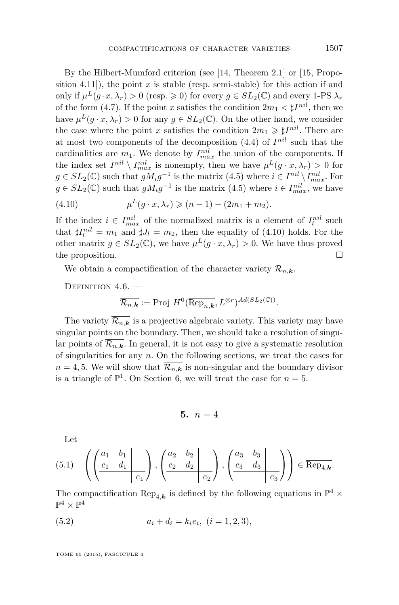<span id="page-15-0"></span>By the Hilbert-Mumford criterion (see [\[14,](#page-30-0) Theorem 2.1] or [\[15,](#page-30-0) Proposition 4.11]), the point  $x$  is stable (resp. semi-stable) for this action if and only if  $\mu^L(g \cdot x, \lambda_r) > 0$  (resp.  $\geq 0$ ) for every  $g \in SL_2(\mathbb{C})$  and every 1-PS  $\lambda_r$ of the form [\(4.7\)](#page-13-0). If the point *x* satisfies the condition  $2m_1 < \sharp I^{nil}$ , then we have  $\mu^L(g \cdot x, \lambda_r) > 0$  for any  $g \in SL_2(\mathbb{C})$ . On the other hand, we consider the case where the point *x* satisfies the condition  $2m_1 \geq \sharp I^{nil}$ . There are at most two components of the decomposition [\(4.4\)](#page-12-0) of *I nil* such that the cardinalities are  $m_1$ . We denote by  $I_{max}^{nil}$  the union of the components. If the index set  $I^{nil} \setminus I^{nil}_{max}$  is nonempty, then we have  $\mu^L(g \cdot x, \lambda_r) > 0$  for *g* ∈  $SL_2(\mathbb{C})$  such that  $gM_i g^{-1}$  is the matrix [\(4.5\)](#page-13-0) where  $i \in I^{nil} \setminus I^{nil}_{max}$ . For  $g \in SL_2(\mathbb{C})$  such that  $gM_i g^{-1}$  is the matrix [\(4.5\)](#page-13-0) where  $i \in I_{max}^{nil}$ , we have *L*

(4.10) 
$$
\mu^{L}(g \cdot x, \lambda_{r}) \geqslant (n-1) - (2m_{1} + m_{2}).
$$

If the index  $i \in I_{max}^{nil}$  of the normalized matrix is a element of  $I_l^{nil}$  such that  $\sharp I_l^{nil} = m_1$  and  $\sharp J_l = m_2$ , then the equality of (4.10) holds. For the other matrix  $g \in SL_2(\mathbb{C})$ , we have  $\mu^L(g \cdot x, \lambda_r) > 0$ . We have thus proved the proposition.

We obtain a compactification of the character variety  $\mathcal{R}_{n,k}$ .

DEFINITION  $4.6.$  —

$$
\overline{\mathcal{R}_{n,\mathbf{k}}} := \text{Proj } H^0(\overline{\text{Rep}_{n,\mathbf{k}}}, L^{\otimes r})^{Ad(SL_2(\mathbb{C}))}.
$$

The variety  $\overline{\mathcal{R}_{n,k}}$  is a projective algebraic variety. This variety may have singular points on the boundary. Then, we should take a resolution of singular points of  $\overline{\mathcal{R}_{n,k}}$ . In general, it is not easy to give a systematic resolution of singularities for any *n*. On the following sections, we treat the cases for  $n = 4, 5$ . We will show that  $\overline{\mathcal{R}_{n,k}}$  is non-singular and the boundary divisor is a triangle of  $\mathbb{P}^1$ . On Section [6,](#page-19-0) we will treat the case for  $n = 5$ .

$$
5. \, n=4
$$

Let

$$
(5.1) \quad \left( \left( \frac{a_1 & b_1}{c_1 & d_1} \middle| \right), \left( \frac{a_2 & b_2}{c_2 & d_2} \middle| \right), \left( \frac{a_3 & b_3}{c_3 & d_3} \middle| \right) \right) \in \overline{\text{Rep}_{4,k}}.
$$

The compactification  $\overline{\text{Rep}_{4,k}}$  is defined by the following equations in  $\mathbb{P}^4$  ×  $\mathbb{P}^4 \times \mathbb{P}^4$ 

(5.2) 
$$
a_i + d_i = k_i e_i, \ (i = 1, 2, 3),
$$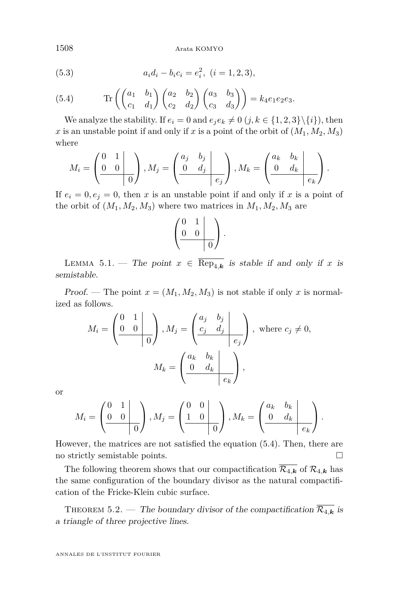Arata KOMYO

(5.3) 
$$
a_i d_i - b_i c_i = e_i^2, \ (i = 1, 2, 3),
$$

(5.4) 
$$
\operatorname{Tr}\left(\begin{pmatrix} a_1 & b_1 \ c_1 & d_1 \end{pmatrix} \begin{pmatrix} a_2 & b_2 \ c_2 & d_2 \end{pmatrix} \begin{pmatrix} a_3 & b_3 \ c_3 & d_3 \end{pmatrix}\right) = k_4 e_1 e_2 e_3.
$$

We analyze the stability. If  $e_i = 0$  and  $e_i e_k \neq 0$   $(j, k \in \{1, 2, 3\} \setminus \{i\})$ , then x is an unstable point if and only if x is a point of the orbit of  $(M_1, M_2, M_3)$ where

$$
M_i = \left(\begin{array}{cc|c} 0 & 1 & b \\ 0 & 0 & 0 \\ \hline & 0 & 0 \end{array}\right), M_j = \left(\begin{array}{cc|c} a_j & b_j & b_j \\ 0 & d_j & b_j \\ \hline & e_j & 0 \end{array}\right), M_k = \left(\begin{array}{cc|c} a_k & b_k & b_k \\ 0 & d_k & b_k \\ \hline & e_k & 0 \end{array}\right).
$$

If  $e_i = 0, e_j = 0$ , then *x* is an unstable point if and only if *x* is a point of the orbit of  $(M_1, M_2, M_3)$  where two matrices in  $M_1, M_2, M_3$  are

$$
\left(\begin{array}{cc|c} 0 & 1 & \\ 0 & 0 & \\ \hline & & 0 \end{array}\right).
$$

LEMMA 5.1. — The point  $x \in \overline{\text{Rep}_{4,k}}$  is stable if and only if x is semistable.

Proof. — The point  $x = (M_1, M_2, M_3)$  is not stable if only x is normalized as follows.

$$
M_i = \left(\begin{array}{c|c} 0 & 1 \\ 0 & 0 \end{array}\right), M_j = \left(\begin{array}{c|c} a_j & b_j \\ c_j & d_j \end{array}\right), \text{ where } c_j \neq 0,
$$

$$
M_k = \left(\begin{array}{c|c} a_k & b_k \\ 0 & d_k \end{array}\right),
$$

or

$$
M_i = \left(\begin{array}{c|c} 0 & 1 & \cdots \\ 0 & 0 & \cdots \\ \hline & 0 & \end{array}\right), M_j = \left(\begin{array}{c|c} 0 & 0 & \cdots \\ 1 & 0 & \cdots \\ \hline & 0 & \end{array}\right), M_k = \left(\begin{array}{c|c} a_k & b_k & \cdots \\ 0 & d_k & \cdots \\ \hline & e_k & \end{array}\right).
$$

However, the matrices are not satisfied the equation (5.4). Then, there are no strictly semistable points.

The following theorem shows that our compactification  $\overline{\mathcal{R}_{4,k}}$  of  $\mathcal{R}_{4,k}$  has the same configuration of the boundary divisor as the natural compactification of the Fricke-Klein cubic surface.

THEOREM 5.2. — The boundary divisor of the compactification  $\overline{\mathcal{R}_{4,k}}$  is a triangle of three projective lines.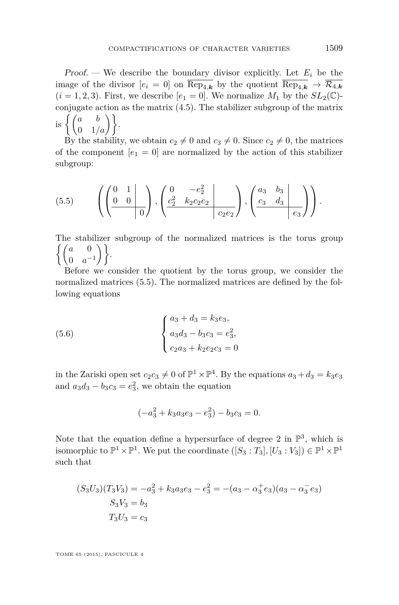<span id="page-17-0"></span>Proof. — We describe the boundary divisor explicitly. Let  $E_i$  be the image of the divisor  $[e_i = 0]$  on  $\overline{\text{Rep}_{4,k}}$  by the quotient  $\overline{\text{Rep}_{4,k}} \to \overline{\mathcal{R}_{4,k}}$  $(i = 1, 2, 3)$ . First, we describe  $[e_1 = 0]$ . We normalize  $M_1$  by the  $SL_2(\mathbb{C})$ conjugate action as the matrix [\(4.5\)](#page-13-0). The stabilizer subgroup of the matrix  $\hspace{0.1cm}\text{is}\hspace{0.1cm}\left\{\begin{pmatrix}a&b\0&1/a \end{pmatrix}\right\}\hspace{-0.1cm}.$ 

By the stability, we obtain  $c_2 \neq 0$  and  $c_3 \neq 0$ . Since  $c_2 \neq 0$ , the matrices of the component  $[e_1 = 0]$  are normalized by the action of this stabilizer subgroup:

(5.5) 
$$
\left( \left( \begin{array}{cc|c} 0 & 1 & 0 \ 0 & 0 & 0 \end{array} \right) , \left( \begin{array}{cc|c} 0 & -e_2^2 & 0 \ \frac{c_2^2 & k_2c_2e_2 & 0 \ \end{array} \right) , \left( \begin{array}{cc|c} a_3 & b_3 & 0 \ c_3 & d_3 & 0 \ \end{array} \right) \right).
$$

The stabilizer subgroup of the normalized matrices is the torus group  $\int$  *a* 0  $\left.\begin{array}{cc} a & 0 \ 0 & a^{-1} \end{array}\right)\biggr\}.$ 

Before we consider the quotient by the torus group, we consider the normalized matrices (5.5). The normalized matrices are defined by the following equations

(5.6) 
$$
\begin{cases} a_3 + d_3 = k_3 e_3, \\ a_3 d_3 - b_3 c_3 = e_3^2, \\ c_2 a_3 + k_2 e_2 c_3 = 0 \end{cases}
$$

in the Zariski open set  $c_2c_3 \neq 0$  of  $\mathbb{P}^1 \times \mathbb{P}^4$ . By the equations  $a_3 + d_3 = k_3e_3$ and  $a_3d_3 - b_3c_3 = e_3^2$ , we obtain the equation

$$
(-a_3^2 + k_3 a_3 e_3 - e_3^2) - b_3 c_3 = 0.
$$

Note that the equation define a hypersurface of degree 2 in  $\mathbb{P}^3$ , which is isomorphic to  $\mathbb{P}^1 \times \mathbb{P}^1$ . We put the coordinate  $([S_3 : T_3], [U_3 : V_3]) \in \mathbb{P}^1 \times \mathbb{P}^1$ such that

$$
(S_3U_3)(T_3V_3) = -a_3^2 + k_3a_3e_3 - e_3^2 = -(a_3 - \alpha_3^+e_3)(a_3 - \alpha_3^-e_3)
$$
  

$$
S_3V_3 = b_3
$$
  

$$
T_3U_3 = c_3
$$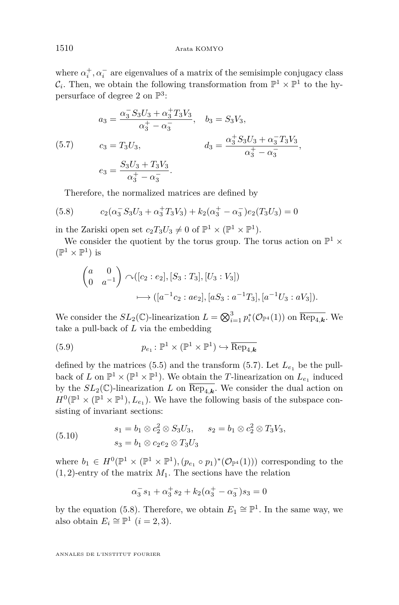<span id="page-18-0"></span>where  $\alpha_i^+, \alpha_i^-$  are eigenvalues of a matrix of the semisimple conjugacy class  $\mathcal{C}_i$ . Then, we obtain the following transformation from  $\mathbb{P}^1 \times \mathbb{P}^1$  to the hypersurface of degree 2 on  $\mathbb{P}^3$ :

(5.7) 
$$
a_3 = \frac{\alpha_3^- S_3 U_3 + \alpha_3^+ T_3 V_3}{\alpha_3^+ - \alpha_3^-}, \quad b_3 = S_3 V_3,
$$

$$
c_3 = T_3 U_3, \qquad d_3 = \frac{\alpha_3^+ S_3 U_3 + \alpha_3^- T_3 V_3}{\alpha_3^+ - \alpha_3^-},
$$

$$
e_3 = \frac{S_3 U_3 + T_3 V_3}{\alpha_3^+ - \alpha_3^-}.
$$

Therefore, the normalized matrices are defined by

(5.8) 
$$
c_2(\alpha_3^- S_3 U_3 + \alpha_3^+ T_3 V_3) + k_2(\alpha_3^+ - \alpha_3^-)e_2(T_3 U_3) = 0
$$

in the Zariski open set  $c_2T_3U_3 \neq 0$  of  $\mathbb{P}^1 \times (\mathbb{P}^1 \times \mathbb{P}^1)$ .

We consider the quotient by the torus group. The torus action on  $\mathbb{P}^1$  ×  $(\mathbb{P}^1 \times \mathbb{P}^1)$  is

$$
\begin{pmatrix} a & 0 \ 0 & a^{-1} \end{pmatrix} \cap ([c_2 : e_2], [S_3 : T_3], [U_3 : V_3])
$$
  

$$
\longrightarrow ([a^{-1}c_2 : ae_2], [aS_3 : a^{-1}T_3], [a^{-1}U_3 : aV_3]).
$$

We consider the  $SL_2(\mathbb{C})$ -linearization  $L = \bigotimes_{i=1}^3 p_i^* (\mathcal{O}_{\mathbb{P}^4}(1))$  on  $\overline{\text{Rep}_{4,k}}$ . We take a pull-back of *L* via the embedding

(5.9) 
$$
p_{e_1} \colon \mathbb{P}^1 \times (\mathbb{P}^1 \times \mathbb{P}^1) \hookrightarrow \overline{\text{Rep}_{4,k}}
$$

defined by the matrices [\(5.5\)](#page-17-0) and the transform (5.7). Let  $L_{e_1}$  be the pullback of *L* on  $\mathbb{P}^1 \times (\mathbb{P}^1 \times \mathbb{P}^1)$ . We obtain the *T*-linearization on  $L_{e_1}$  induced by the  $SL_2(\mathbb{C})$ -linearization *L* on  $\text{Rep}_{4,k}$ . We consider the dual action on  $H^0(\mathbb{P}^1 \times (\mathbb{P}^1 \times \mathbb{P}^1), L_{e_1})$ . We have the following basis of the subspace consisting of invariant sections:

(5.10) 
$$
s_1 = b_1 \otimes c_2^2 \otimes S_3 U_3, \quad s_2 = b_1 \otimes c_2^2 \otimes T_3 V_3, s_3 = b_1 \otimes c_2 e_2 \otimes T_3 U_3
$$

where  $b_1 \in H^0(\mathbb{P}^1 \times (\mathbb{P}^1 \times \mathbb{P}^1), (p_{e_1} \circ p_1)^*(\mathcal{O}_{\mathbb{P}^4}(1)))$  corresponding to the  $(1, 2)$ -entry of the matrix  $M_1$ . The sections have the relation

$$
\alpha_3^- s_1 + \alpha_3^+ s_2 + k_2(\alpha_3^+ - \alpha_3^-) s_3 = 0
$$

by the equation (5.8). Therefore, we obtain  $E_1 \cong \mathbb{P}^1$ . In the same way, we also obtain  $E_i \cong \mathbb{P}^1$   $(i = 2, 3)$ .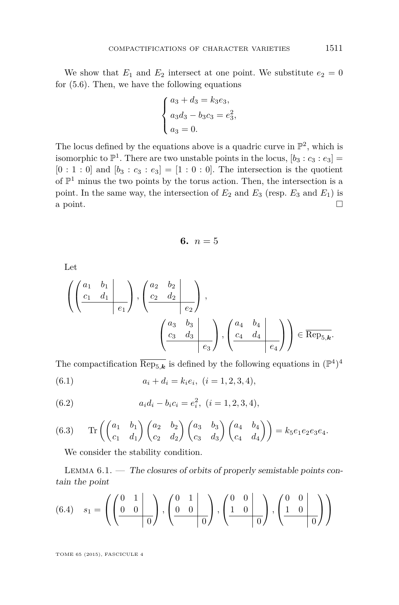<span id="page-19-0"></span>We show that  $E_1$  and  $E_2$  intersect at one point. We substitute  $e_2 = 0$ for [\(5.6\)](#page-17-0). Then, we have the following equations

$$
\begin{cases}\na_3 + d_3 = k_3 e_3, \\
a_3 d_3 - b_3 c_3 = e_3^2, \\
a_3 = 0.\n\end{cases}
$$

The locus defined by the equations above is a quadric curve in  $\mathbb{P}^2$ , which is isomorphic to  $\mathbb{P}^1$ . There are two unstable points in the locus,  $[b_3 : c_3 : e_3] =$  $[0:1:0]$  and  $[b_3: c_3: e_3] = [1:0:0]$ . The intersection is the quotient of  $\mathbb{P}^1$  minus the two points by the torus action. Then, the intersection is a point. In the same way, the intersection of  $E_2$  and  $E_3$  (resp.  $E_3$  and  $E_1$ ) is a point.  $\Box$ 

$$
6. \, n=5
$$

Let

$$
\left( \left( \begin{array}{cc|cc} a_1 & b_1 & b_2 \ \hline c_1 & d_1 & c_1 \end{array} \right), \left( \begin{array}{cc|cc} a_2 & b_2 & b_2 \ \hline c_2 & d_2 & c_2 \end{array} \right), \left( \begin{array}{cc|cc} a_3 & b_3 & b_3 \ \hline c_3 & d_3 & c_3 \end{array} \right), \left( \begin{array}{cc|cc} a_4 & b_4 & b_4 & b_4 \ \hline c_4 & d_4 & c_4 \end{array} \right) \right) \in \overline{\text{Rep}}_{5,k}.
$$

The compactification  $\overline{\text{Rep}_{5,k}}$  is defined by the following equations in  $(\mathbb{P}^4)^4$ 

(6.1) 
$$
a_i + d_i = k_i e_i, \ (i = 1, 2, 3, 4),
$$

(6.2) 
$$
a_i d_i - b_i c_i = e_i^2, \ (i = 1, 2, 3, 4),
$$

(6.3) 
$$
\operatorname{Tr}\left(\begin{pmatrix} a_1 & b_1 \ c_1 & d_1 \end{pmatrix} \begin{pmatrix} a_2 & b_2 \ c_2 & d_2 \end{pmatrix} \begin{pmatrix} a_3 & b_3 \ c_3 & d_3 \end{pmatrix} \begin{pmatrix} a_4 & b_4 \ c_4 & d_4 \end{pmatrix}\right) = k_5 e_1 e_2 e_3 e_4.
$$

We consider the stability condition.

LEMMA  $6.1.$  — The closures of orbits of properly semistable points contain the point

(6.4) 
$$
s_1 = \left( \left( \begin{array}{cc|c} 0 & 1 & 0 \\ 0 & 0 & 0 \\ 0 & 0 & 0 \end{array} \right), \left( \begin{array}{cc|c} 0 & 1 & 0 \\ 0 & 0 & 0 \\ 0 & 0 & 0 \end{array} \right), \left( \begin{array}{cc|c} 0 & 0 & 0 \\ 1 & 0 & 0 \\ 0 & 0 & 0 \end{array} \right) \right)
$$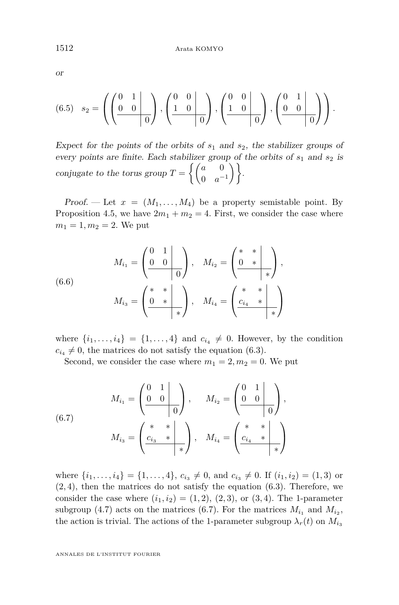<span id="page-20-0"></span>or

(6.5) 
$$
s_2 = \left( \left( \begin{array}{cc|cc} 0 & 1 & 0 \\ 0 & 0 & 0 \\ \hline & & 0 \end{array} \right), \left( \begin{array}{cc|cc} 0 & 0 & 0 \\ 1 & 0 & 0 \\ \hline & & 0 \end{array} \right), \left( \begin{array}{cc|cc} 0 & 0 & 0 \\ 1 & 0 & 0 \\ \hline & & 0 \end{array} \right), \left( \begin{array}{cc|cc} 0 & 1 & 0 \\ 0 & 0 & 0 \\ \hline & & 0 \end{array} \right) \right).
$$

Expect for the points of the orbits of *s*<sup>1</sup> and *s*2, the stabilizer groups of every points are finite. Each stabilizer group of the orbits of *s*<sup>1</sup> and *s*<sup>2</sup> is conjugate to the torus group  $T = \begin{cases} \begin{pmatrix} a & 0 \\ 0 & -a \end{pmatrix}$  $\left.\begin{array}{cc} a & 0 \ 0 & a^{-1} \end{array}\right)\biggr\}.$ 

Proof. — Let  $x = (M_1, \ldots, M_4)$  be a property semistable point. By Proposition [4.5,](#page-13-0) we have  $2m_1 + m_2 = 4$ . First, we consider the case where  $m_1 = 1, m_2 = 2$ . We put

(6.6) 
$$
M_{i_1} = \begin{pmatrix} 0 & 1 \\ 0 & 0 \\ 0 & 0 \end{pmatrix}, \quad M_{i_2} = \begin{pmatrix} * & * \\ 0 & * \\ * & * \end{pmatrix},
$$

$$
M_{i_3} = \begin{pmatrix} * & * \\ 0 & * \\ * & * \end{pmatrix}, \quad M_{i_4} = \begin{pmatrix} * & * \\ c_{i_4} & * \\ * & * \end{pmatrix}
$$

where  $\{i_1, \ldots, i_4\} = \{1, \ldots, 4\}$  and  $c_{i_4} \neq 0$ . However, by the condition  $c_{i_4} \neq 0$ , the matrices do not satisfy the equation [\(6.3\)](#page-19-0).

Second, we consider the case where  $m_1 = 2, m_2 = 0$ . We put

(6.7) 
$$
M_{i_1} = \begin{pmatrix} 0 & 1 \\ 0 & 0 \end{pmatrix}, \qquad M_{i_2} = \begin{pmatrix} 0 & 1 \\ 0 & 0 \end{pmatrix},
$$

$$
M_{i_3} = \begin{pmatrix} * & * \\ \frac{c_{i_3} & * \end{pmatrix}, \qquad M_{i_4} = \begin{pmatrix} * & * \\ \frac{c_{i_4} & * \end{pmatrix}
$$

where  $\{i_1, \ldots, i_4\} = \{1, \ldots, 4\}, c_{i_3} \neq 0$ , and  $c_{i_3} \neq 0$ . If  $(i_1, i_2) = (1, 3)$  or (2*,* 4), then the matrices do not satisfy the equation [\(6.3\)](#page-19-0). Therefore, we consider the case where  $(i_1, i_2) = (1, 2), (2, 3),$  or  $(3, 4)$ . The 1-parameter subgroup [\(4.7\)](#page-13-0) acts on the matrices (6.7). For the matrices  $M_{i_1}$  and  $M_{i_2}$ , the action is trivial. The actions of the 1-parameter subgroup  $\lambda_r(t)$  on  $M_{i_3}$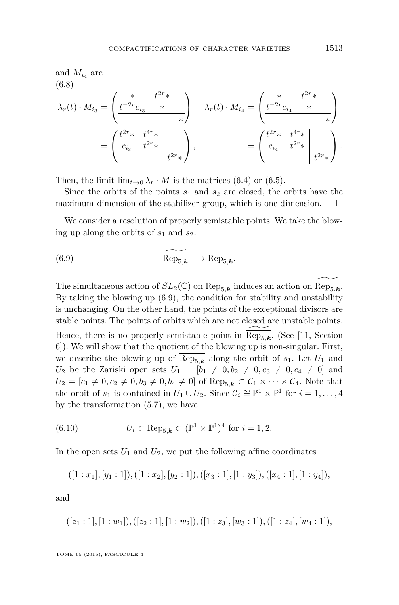<span id="page-21-0"></span>and 
$$
M_{i_4}
$$
 are  
\n(6.8)  
\n
$$
\lambda_r(t) \cdot M_{i_3} = \begin{pmatrix} * & t^{2r} * \\ t^{-2r} c_{i_3} & * & * \end{pmatrix} \lambda_r(t) \cdot M_{i_4} = \begin{pmatrix} * & t^{2r} * \\ t^{-2r} c_{i_4} & * & * \end{pmatrix}
$$
\n
$$
= \begin{pmatrix} t^{2r} * & t^{4r} * \\ \frac{c_{i_3}}{t^{2r}} & t^{2r} * & * \end{pmatrix}, \qquad \qquad = \begin{pmatrix} t^{2r} * & t^{4r} * \\ \frac{c_{i_4}}{t^{2r}} & t^{2r} * & * \end{pmatrix}.
$$

Then, the limit  $\lim_{t\to 0} \lambda_r \cdot M$  is the matrices [\(6.4\)](#page-19-0) or [\(6.5\)](#page-20-0).

Since the orbits of the points  $s_1$  and  $s_2$  are closed, the orbits have the maximum dimension of the stabilizer group, which is one dimension.

We consider a resolution of properly semistable points. We take the blowing up along the orbits of  $s_1$  and  $s_2$ :

(6.9) 
$$
\overline{\text{Rep}_{5,k}} \longrightarrow \overline{\text{Rep}_{5,k}}.
$$

The simultaneous action of  $SL_2(\mathbb{C})$  on  $\overline{\text{Rep}_{5,k}}$  induces an action on  $\overline{\text{Rep}_{5,k}}$ . By taking the blowing up (6.9), the condition for stability and unstability is unchanging. On the other hand, the points of the exceptional divisors are stable points. The points of orbits which are not closed are unstable points. Hence, there is no properly semistable point in  $\overline{\text{Rep}_{5,k}}$ . (See [\[11,](#page-30-0) Section 6]). We will show that the quotient of the blowing up is non-singular. First, we describe the blowing up of  $\overline{\text{Rep}_{5,k}}$  along the orbit of  $s_1$ . Let  $U_1$  and *U*<sub>2</sub> be the Zariski open sets  $U_1 = [b_1 \neq 0, b_2 \neq 0, c_3 \neq 0, c_4 \neq 0]$  and  $U_2 = [c_1 \neq 0, c_2 \neq 0, b_3 \neq 0, b_4 \neq 0]$  of  $\overline{\text{Rep}_{5,k}} \subset \overline{\mathcal{C}}_1 \times \cdots \times \overline{\mathcal{C}}_4$ . Note that the orbit of  $s_1$  is contained in  $U_1 \cup U_2$ . Since  $\overline{C}_i \cong \mathbb{P}^1 \times \mathbb{P}^1$  for  $i = 1, ..., 4$ by the transformation [\(5.7\)](#page-18-0), we have

(6.10) 
$$
U_i \subset \overline{\text{Rep}_{5,k}} \subset (\mathbb{P}^1 \times \mathbb{P}^1)^4 \text{ for } i = 1, 2.
$$

In the open sets  $U_1$  and  $U_2$ , we put the following affine coordinates

$$
([1:x1],[y1:1]), ([1:x2],[y2:1]), ([x3:1],[1:y3]), ([x4:1],[1:y4]),
$$

and

$$
([z1:1],[1:w1]), ([z2:1],[1:w2]), ([1:z3],[w3:1]), ([1:z4],[w4:1]),
$$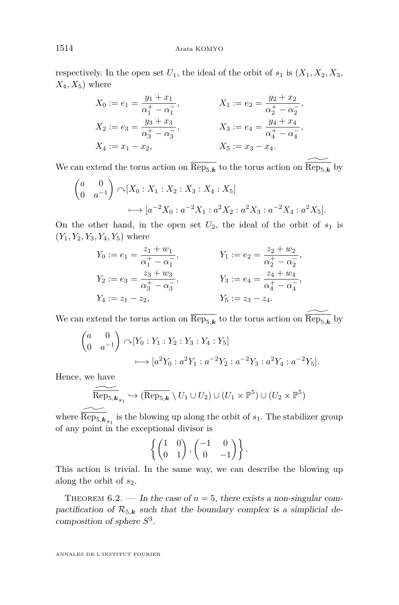<span id="page-22-0"></span>respectively. In the open set  $U_1$ , the ideal of the orbit of  $s_1$  is  $(X_1, X_2, X_3,$  $X_4, X_5$ ) where

$$
X_0 := e_1 = \frac{y_1 + x_1}{\alpha_1^+ - \alpha_1^-,}
$$
  
\n
$$
X_1 := e_2 = \frac{y_2 + x_2}{\alpha_2^+ - \alpha_2^-,}
$$
  
\n
$$
X_2 := e_3 = \frac{y_3 + x_3}{\alpha_3^+ - \alpha_3^-,}
$$
  
\n
$$
X_3 := e_4 = \frac{y_4 + x_4}{\alpha_4^+ - \alpha_4^-,}
$$
  
\n
$$
X_4 := x_1 - x_2,
$$
  
\n
$$
X_5 := x_3 - x_4.
$$

We can extend the torus action on  $\overline{\text{Rep}_{5,k}}$  to the torus action on  $\overline{\text{Rep}_{5,k}}$  by

$$
\begin{pmatrix} a & 0 \ 0 & a^{-1} \end{pmatrix} \sim [X_0 : X_1 : X_2 : X_3 : X_4 : X_5]
$$
  

$$
\longrightarrow [a^{-2}X_0 : a^{-2}X_1 : a^2X_2 : a^2X_3 : a^{-2}X_4 : a^2X_5].
$$

On the other hand, in the open set  $U_2$ , the ideal of the orbit of  $s_1$  is  $(Y_1, Y_2, Y_3, Y_4, Y_5)$  where

$$
Y_0 := e_1 = \frac{z_1 + w_1}{\alpha_1^+ - \alpha_1^-,}
$$
  
\n
$$
Y_1 := e_2 = \frac{z_2 + w_2}{\alpha_2^+ - \alpha_2^-,}
$$
  
\n
$$
Y_2 := e_3 = \frac{z_3 + w_3}{\alpha_3^+ - \alpha_3^-,}
$$
  
\n
$$
Y_3 := e_4 = \frac{z_4 + w_4}{\alpha_4^+ - \alpha_4^-,}
$$
  
\n
$$
Y_4 := z_1 - z_2,
$$
  
\n
$$
Y_5 := z_3 - z_4.
$$

We can extend the torus action on  $\overline{\text{Rep}_{5,k}}$  to the torus action on  $\overline{\text{Rep}_{5,k}}$  by

$$
\begin{pmatrix} a & 0 \ 0 & a^{-1} \end{pmatrix} \curvearrowright [Y_0 : Y_1 : Y_2 : Y_3 : Y_4 : Y_5]
$$
  

$$
\longmapsto [a^2 Y_0 : a^2 Y_1 : a^{-2} Y_2 : a^{-2} Y_3 : a^2 Y_4 : a^{-2} Y_5].
$$

Hence, we have

$$
\widetilde{\mathrm{Rep}_{5,\mathbf{k}_{s_1}}}\hookrightarrow(\overline{\mathrm{Rep}_{5,\mathbf{k}}}\setminus U_1\cup U_2)\cup(U_1\times\mathbb{P}^5)\cup(U_2\times\mathbb{P}^5)
$$

where  $\overline{\text{Rep}_{5,k}}_{s_1}$  is the blowing up along the orbit of  $s_1$ . The stabilizer group of any point in the exceptional divisor is

$$
\left\{ \begin{pmatrix} 1 & 0 \\ 0 & 1 \end{pmatrix}, \begin{pmatrix} -1 & 0 \\ 0 & -1 \end{pmatrix} \right\}.
$$

This action is trivial. In the same way, we can describe the blowing up along the orbit of *s*2.

THEOREM  $6.2.$  — In the case of  $n = 5$ , there exists a non-singular compactification of  $\mathcal{R}_{5,k}$  such that the boundary complex is a simplicial decomposition of sphere *S* 3 .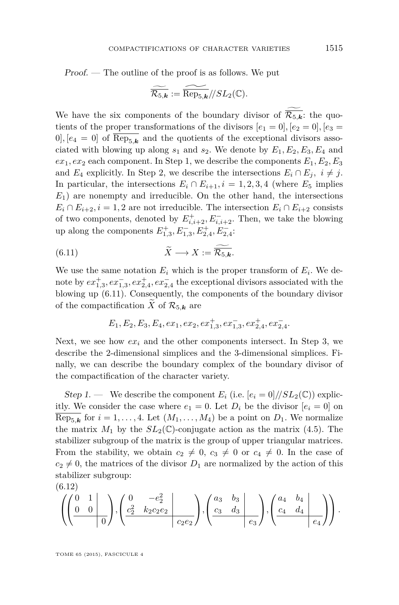Proof. — The outline of the proof is as follows. We put

$$
\widetilde{\overline{\mathcal{R}_{5,k}}} := \widetilde{\text{Rep}_{5,k}}//SL_2(\mathbb{C}).
$$

We have the six components of the boundary divisor of  $\overline{\mathcal{R}_{5,k}}$ : the quotients of the proper transformations of the divisors  $[e_1 = 0]$ ,  $[e_2 = 0]$ ,  $[e_3 =$  $[0], [e_4 = 0]$  of  $\overline{\text{Rep}_{5,k}}$  and the quotients of the exceptional divisors associated with blowing up along  $s_1$  and  $s_2$ . We denote by  $E_1, E_2, E_3, E_4$  and  $ex_1, ex_2$  each component. In Step 1, we describe the components  $E_1, E_2, E_3$ and *E*<sub>4</sub> explicitly. In Step 2, we describe the intersections  $E_i \cap E_j$ ,  $i \neq j$ . In particular, the intersections  $E_i \cap E_{i+1}, i = 1, 2, 3, 4$  (where  $E_5$  implies  $E_1$ ) are nonempty and irreducible. On the other hand, the intersections  $E_i \cap E_{i+2}$ ,  $i = 1, 2$  are not irreducible. The intersection  $E_i \cap E_{i+2}$  consists of two components, denoted by  $E_{i,i+2}^+$ ,  $E_{i,i+2}^-$ . Then, we take the blowing up along the components  $E_{1,3}^+, E_{1,3}^-, E_{2,4}^+, E_{2,4}^-,$ 

(6.11) 
$$
\widetilde{X} \longrightarrow X := \overline{\mathcal{R}_{5,k}}.
$$

We use the same notation  $E_i$  which is the proper transform of  $E_i$ . We denote by  $ex_{1,3}^+$ , $ex_{1,3}^-$ , $ex_{2,4}^+$ , $ex_{2,4}^-$ , the exceptional divisors associated with the blowing up (6.11). Consequently, the components of the boundary divisor of the compactification *X* of  $\mathcal{R}_{5,k}$  are

$$
E_1, E_2, E_3, E_4, ex_1, ex_2, ex_{1,3}^+, ex_{1,3}^-, ex_{2,4}^+, ex_{2,4}^-.
$$

Next, we see how  $ex_i$  and the other components intersect. In Step 3, we describe the 2-dimensional simplices and the 3-dimensional simplices. Finally, we can describe the boundary complex of the boundary divisor of the compactification of the character variety.

Step 1. — We describe the component  $E_i$  (i.e.  $[e_i = 0]/SL_2(\mathbb{C})$ ) explicitly. We consider the case where  $e_1 = 0$ . Let  $D_i$  be the divisor  $[e_i = 0]$  on  $\text{Rep}_{5,\mathbf{k}}$  for  $i = 1, \ldots, 4$ . Let  $(M_1, \ldots, M_4)$  be a point on  $D_1$ . We normalize the matrix  $M_1$  by the  $SL_2(\mathbb{C})$ -conjugate action as the matrix [\(4.5\)](#page-13-0). The stabilizer subgroup of the matrix is the group of upper triangular matrices. From the stability, we obtain  $c_2 \neq 0$ ,  $c_3 \neq 0$  or  $c_4 \neq 0$ . In the case of  $c_2 \neq 0$ , the matrices of the divisor  $D_1$  are normalized by the action of this stabilizer subgroup:

$$
(6.12)
$$

$$
\left( \left( \begin{array}{cc|cc} 0 & 1 & \\ 0 & 0 & \\ & & 0 \end{array} \right), \left( \begin{array}{cc|cc} 0 & -e_2^2 & \\ \frac{c_2^2}{2} & k_2c_2e_2 & \\ & & c_2e_2 \end{array} \right), \left( \begin{array}{cc|cc} a_3 & b_3 & \\ c_3 & d_3 & \\ & & e_3 \end{array} \right), \left( \begin{array}{cc|cc} a_4 & b_4 & \\ c_4 & d_4 & \\ & & e_4 \end{array} \right) \right).
$$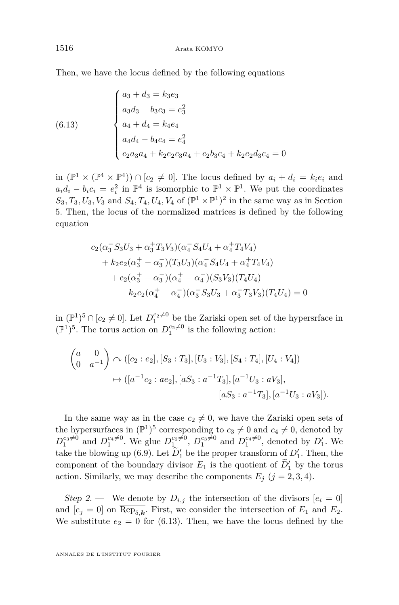<span id="page-24-0"></span>Then, we have the locus defined by the following equations

(6.13) 
$$
\begin{cases} a_3 + d_3 = k_3 e_3 \\ a_3 d_3 - b_3 c_3 = e_3^2 \\ a_4 + d_4 = k_4 e_4 \\ a_4 d_4 - b_4 c_4 = e_4^2 \\ c_2 a_3 a_4 + k_2 e_2 c_3 a_4 + c_2 b_3 c_4 + k_2 e_2 d_3 c_4 = 0 \end{cases}
$$

in  $(\mathbb{P}^1 \times (\mathbb{P}^4 \times \mathbb{P}^4)) \cap [c_2 \neq 0]$ . The locus defined by  $a_i + d_i = k_i e_i$  and  $a_i d_i - b_i c_i = e_i^2$  in  $\mathbb{P}^4$  is isomorphic to  $\mathbb{P}^1 \times \mathbb{P}^1$ . We put the coordinates  $S_3, T_3, U_3, V_3$  and  $S_4, T_4, U_4, V_4$  of  $(\mathbb{P}^1 \times \mathbb{P}^1)^2$  in the same way as in Section [5.](#page-15-0) Then, the locus of the normalized matrices is defined by the following equation

$$
c_2(\alpha_3^- S_3 U_3 + \alpha_3^+ T_3 V_3)(\alpha_4^- S_4 U_4 + \alpha_4^+ T_4 V_4)
$$
  
+  $k_2 e_2(\alpha_3^+ - \alpha_3^-) (T_3 U_3)(\alpha_4^- S_4 U_4 + \alpha_4^+ T_4 V_4)$   
+  $c_2(\alpha_3^+ - \alpha_3^-) (\alpha_4^+ - \alpha_4^-) (S_3 V_3) (T_4 U_4)$   
+  $k_2 e_2(\alpha_4^+ - \alpha_4^-) (\alpha_3^+ S_3 U_3 + \alpha_3^- T_3 V_3) (T_4 U_4) = 0$ 

in  $(\mathbb{P}^1)^5 \cap [c_2 \neq 0]$ . Let  $D_1^{c_2 \neq 0}$  be the Zariski open set of the hypersrface in  $(\mathbb{P}^1)^5$ . The torus action on  $D_1^{c_2 \neq 0}$  is the following action:

$$
\begin{pmatrix} a & 0 \ 0 & a^{-1} \end{pmatrix} \curvearrowright ([c_2 : e_2], [S_3 : T_3], [U_3 : V_3], [S_4 : T_4], [U_4 : V_4])
$$
  

$$
\mapsto ([a^{-1}c_2 : ae_2], [aS_3 : a^{-1}T_3], [a^{-1}U_3 : aV_3],
$$
  

$$
[aS_3 : a^{-1}T_3], [a^{-1}U_3 : aV_3]).
$$

In the same way as in the case  $c_2 \neq 0$ , we have the Zariski open sets of the hypersurfaces in  $(\mathbb{P}^1)^5$  corresponding to  $c_3 \neq 0$  and  $c_4 \neq 0$ , denoted by  $D_1^{c_3\neq0}$  and  $D_1^{c_4\neq0}$ . We glue  $D_{1}^{c_2\neq0}$ ,  $D_1^{c_3\neq0}$  and  $D_1^{c_4\neq0}$ , denoted by  $D'_1$ . We take the blowing up [\(6.9\)](#page-21-0). Let  $D'_1$  be the proper transform of  $D'_1$ . Then, the component of the boundary divisor  $E_1$  is the quotient of  $\widetilde{D}'_1$  by the torus action. Similarly, we may describe the components  $E_j$  ( $j = 2, 3, 4$ ).

Step 2. — We denote by  $D_{i,j}$  the intersection of the divisors  $[e_i = 0]$ and  $[e_j = 0]$  on Rep<sub>5,k</sub>. First, we consider the intersection of  $E_1$  and  $E_2$ . We substitute  $e_2 = 0$  for (6.13). Then, we have the locus defined by the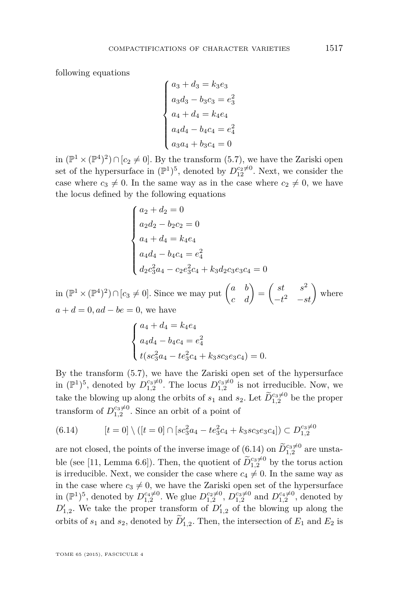following equations

$$
\begin{cases}\na_3 + d_3 = k_3 e_3 \\
a_3 d_3 - b_3 c_3 = e_3^2 \\
a_4 + d_4 = k_4 e_4 \\
a_4 d_4 - b_4 c_4 = e_4^2 \\
a_3 a_4 + b_3 c_4 = 0\n\end{cases}
$$

in  $(\mathbb{P}^1 \times (\mathbb{P}^4)^2) \cap [c_2 \neq 0]$ . By the transform [\(5.7\)](#page-18-0), we have the Zariski open set of the hypersurface in  $(\mathbb{P}^1)^5$ , denoted by  $D_{12}^{c_2 \neq 0}$ . Next, we consider the case where  $c_3 \neq 0$ . In the same way as in the case where  $c_2 \neq 0$ , we have the locus defined by the following equations

$$
\begin{cases}\na_2 + d_2 = 0 \\
a_2d_2 - b_2c_2 = 0 \\
a_4 + d_4 = k_4e_4 \\
a_4d_4 - b_4c_4 = e_4^2 \\
d_2c_3^2a_4 - c_2e_3^2c_4 + k_3d_2c_3e_3c_4 = 0\n\end{cases}
$$

in  $(\mathbb{P}^1 \times (\mathbb{P}^4)^2) \cap [c_3 \neq 0]$ . Since we may put  $\begin{pmatrix} a & b \\ c & d \end{pmatrix} = \begin{pmatrix} st & s^2 \\ -t^2 & -s \end{pmatrix}$  $\begin{pmatrix} st & s^2 \\ -t^2 & -st \end{pmatrix}$  where  $a + d = 0$ ,  $ad - be = 0$ , we have

$$
\begin{cases}\na_4 + d_4 = k_4 e_4 \\
a_4 d_4 - b_4 c_4 = e_4^2 \\
t(s c_3^2 a_4 - t e_3^2 c_4 + k_3 s c_3 e_3 c_4) = 0.\n\end{cases}
$$

By the transform [\(5.7\)](#page-18-0), we have the Zariski open set of the hypersurface in  $(\mathbb{P}^1)^5$ , denoted by  $D_{1,2}^{c_3\neq 0}$ . The locus  $D_{1,2}^{c_3\neq 0}$  is not irreducible. Now, we take the blowing up along the orbits of  $s_1$  and  $s_2$ . Let  $\widetilde{D}_{1,2}^{c_3\neq0}$  be the proper transform of  $D_{1,2}^{c_3 \neq 0}$ . Since an orbit of a point of

$$
(6.14) \qquad [t=0] \setminus ([t=0] \cap [sc_3^2 a_4 - te_3^2 c_4 + k_3 s c_3 e_3 c_4]) \subset D_{1,2}^{c_3 \neq 0}
$$

are not closed, the points of the inverse image of  $(6.14)$  on  $\widetilde{D}_{1,2}^{c_3\neq0}$  are unsta-ble (see [\[11,](#page-30-0) Lemma 6.6]). Then, the quotient of  $\widetilde{D}_{1,2}^{c_3\neq 0}$  by the torus action is irreducible. Next, we consider the case where  $c_4 \neq 0$ . In the same way as in the case where  $c_3 \neq 0$ , we have the Zariski open set of the hypersurface in  $(\mathbb{P}^1)^5$ , denoted by  $D_{1,2}^{c_4 \neq 0}$ . We glue  $D_{1,2}^{c_2 \neq 0}$ ,  $D_{1,2}^{c_3 \neq 0}$  and  $D_{1,2}^{c_4 \neq 0}$ , denoted by  $D'_{1,2}$ . We take the proper transform of  $D'_{1,2}$  of the blowing up along the orbits of  $s_1$  and  $s_2$ , denoted by  $\widetilde{D}'_{1,2}$ . Then, the intersection of  $E_1$  and  $E_2$  is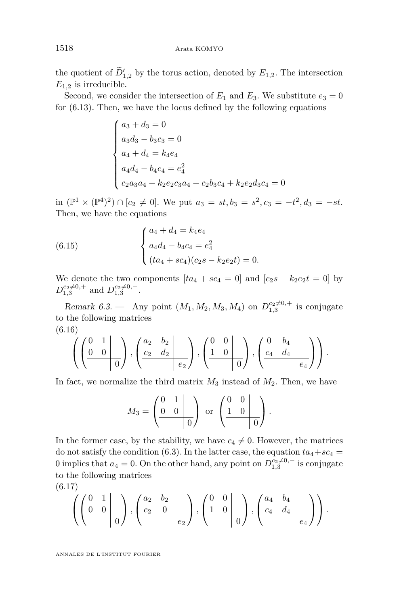<span id="page-26-0"></span>the quotient of  $D'_{1,2}$  by the torus action, denoted by  $E_{1,2}$ . The intersection  $E_{1,2}$  is irreducible.

Second, we consider the intersection of  $E_1$  and  $E_3$ . We substitute  $e_3 = 0$ for [\(6.13\)](#page-24-0). Then, we have the locus defined by the following equations

$$
\begin{cases}\na_3 + d_3 = 0 \\
a_3d_3 - b_3c_3 = 0 \\
a_4 + d_4 = k_4e_4 \\
a_4d_4 - b_4c_4 = e_4^2 \\
c_2a_3a_4 + k_2e_2c_3a_4 + c_2b_3c_4 + k_2e_2d_3c_4 = 0\n\end{cases}
$$

in  $(\mathbb{P}^1 \times (\mathbb{P}^4)^2) \cap [c_2 \neq 0]$ . We put  $a_3 = st, b_3 = s^2, c_3 = -t^2, d_3 = -st$ . Then, we have the equations

(6.15) 
$$
\begin{cases} a_4 + d_4 = k_4 e_4 \\ a_4 d_4 - b_4 c_4 = e_4^2 \\ (t a_4 + s c_4)(c_2 s - k_2 e_2 t) = 0. \end{cases}
$$

We denote the two components  $[ta_4 + sc_4 = 0]$  and  $[c_2s - k_2e_2t = 0]$  by  $D_{1,3}^{c_2 \neq 0,+}$  and  $D_{1,3}^{c_2 \neq 0,-}$ .

Remark 6.3. — Any point  $(M_1, M_2, M_3, M_4)$  on  $D_{1,3}^{c_2 \neq 0,+}$  is conjugate to the following matrices (6.16)

$$
\left(\left(\begin{array}{cc|cc}0&1&\\0&0&\\&&0\end{array}\right),\left(\begin{array}{cc|cc}a_2&b_2&\\c_2&d_2&\\&&e_2\end{array}\right),\left(\begin{array}{cc|cc}0&0&\\1&0&\\&&0\end{array}\right),\left(\begin{array}{cc|cc}0&b_4&\\c_4&d_4&\\&&e_4\end{array}\right)\right).
$$

In fact, we normalize the third matrix  $M_3$  instead of  $M_2$ . Then, we have

$$
M_3 = \left(\begin{array}{cc|c} 0 & 1 & \\ 0 & 0 & \\ & & 0 \end{array}\right) \text{ or } \left(\begin{array}{cc|c} 0 & 0 & \\ 1 & 0 & \\ & & 0 \end{array}\right).
$$

In the former case, by the stability, we have  $c_4 \neq 0$ . However, the matrices do not satisfy the condition [\(6.3\)](#page-19-0). In the latter case, the equation  $ta_4+sc_4$  = 0 implies that  $a_4 = 0$ . On the other hand, any point on  $D_{1,3}^{c_2 \neq 0,-}$  is conjugate to the following matrices

$$
(6.17)
$$

$$
\left(\left(\begin{array}{cc|cc}0&1&\\0&0&\\&&0\end{array}\right),\left(\begin{array}{cc|cc}a_2&b_2&\\c_2&0&\\&&e_2\end{array}\right),\left(\begin{array}{cc|cc}0&0&\\1&0&\\&&0\end{array}\right),\left(\begin{array}{cc|cc}a_4&b_4&\\c_4&d_4&\\&&e_4\end{array}\right)\right).
$$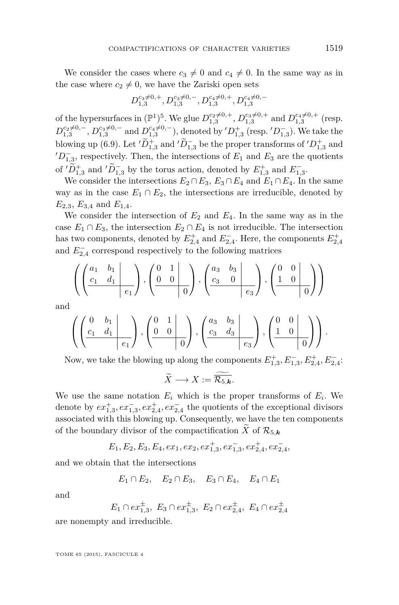We consider the cases where  $c_3 \neq 0$  and  $c_4 \neq 0$ . In the same way as in the case where  $c_2 \neq 0$ , we have the Zariski open sets

$$
D_{1,3}^{c_3 \neq 0,+}, D_{1,3}^{c_3 \neq 0,-}, D_{1,3}^{c_4 \neq 0,+}, D_{1,3}^{c_4 \neq 0,-}
$$

of the hypersurfaces in  $(\mathbb{P}^1)^5$ . We glue  $D_{1,3}^{c_2 \neq 0,+}$ ,  $D_{1,3}^{c_3 \neq 0,+}$  and  $D_{1,3}^{c_4 \neq 0,+}$  (resp.  $D_{1,3}^{c_2 \neq 0,-}$ ,  $D_{1,3}^{c_3 \neq 0,-}$  and  $D_{1,3}^{c_4 \neq 0,-}$ ), denoted by  $'D_{1,3}^+$  (resp.  $'D_{1,3}^-$ ). We take the blowing up [\(6.9\)](#page-21-0). Let  $'\tilde{D}_{1,3}^+$  and  $'\tilde{D}_{1,3}^-$  be the proper transforms of  $'D_{1,3}^+$  and  $D_{1,3}^-$ , respectively. Then, the intersections of  $E_1$  and  $E_3$  are the quotients of  $'D_{1,3}^+$  and  $'D_{1,3}^-$  by the torus action, denoted by  $E_{1,3}^+$  and  $E_{1,3}^-$ .

We consider the intersections  $E_2 \cap E_3$ ,  $E_3 \cap E_4$  and  $E_1 \cap E_4$ . In the same way as in the case  $E_1 \cap E_2$ , the intersections are irreducible, denoted by *E*2*,*3, *E*3*,*<sup>4</sup> and *E*1*,*4.

We consider the intersection of  $E_2$  and  $E_4$ . In the same way as in the case  $E_1 \cap E_3$ , the intersection  $E_2 \cap E_4$  is not irreducible. The intersection has two components, denoted by  $E_{2,4}^+$  and  $E_{2,4}^-$ . Here, the components  $E_{2,4}^+$ and  $E_{2,4}^-$  correspond respectively to the following matrices

$$
\left(\left(\begin{array}{cc|cc} a_1 & b_1 & \cdots & b_1 \\ \hline c_1 & d_1 & \cdots & c_1 \end{array}\right), \left(\begin{array}{cc|cc} 0 & 1 & \cdots & b_1 \\ 0 & 0 & \cdots & b_1 \end{array}\right), \left(\begin{array}{cc|cc} a_3 & b_3 & \cdots & b_1 \\ \hline c_3 & 0 & \cdots & c_3 \end{array}\right), \left(\begin{array}{cc|cc} 0 & 0 & \cdots & b_1 \\ 1 & 0 & \cdots & b_1 \end{array}\right)\right)
$$

and

$$
\left(\left(\frac{\begin{matrix}0 & b_1 \\ c_1 & d_1 \end{matrix}}{\begin{matrix}e_1\end{matrix}}\right), \left(\frac{\begin{matrix}0 & 1 \\ 0 & 0 \end{matrix}}{\begin{matrix}e_1\end{matrix}}\right), \left(\frac{\begin{matrix}a_3 & b_3 \\ c_3 & d_3 \end{matrix}}{\begin{matrix}e_3\end{matrix}}\right), \left(\frac{\begin{matrix}0 & 0 \\ 1 & 0 \end{matrix}}{\begin{matrix}e_3\end{matrix}}\right)\right).
$$

Now, we take the blowing up along the components  $E_{1,3}^+, E_{1,3}^-, E_{2,4}^+, E_{2,4}^-,$ 

$$
\widetilde{X} \longrightarrow X := \widetilde{\overline{\mathcal{R}_{5,k}}}.
$$

We use the same notation  $E_i$  which is the proper transforms of  $E_i$ . We denote by  $ex_{1,3}^+$ ,  $ex_{1,3}^-$ ,  $ex_{2,4}^+$ ,  $ex_{2,4}^-$  the quotients of the exceptional divisors associated with this blowing up. Consequently, we have the ten components of the boundary divisor of the compactification  $\widetilde{X}$  of  $\mathcal{R}_{5,k}$ 

$$
E_1, E_2, E_3, E_4, ex_1, ex_2, ex_{1,3}^+, ex_{1,3}^-, ex_{2,4}^+, ex_{2,4}^-,
$$

and we obtain that the intersections

*E*<sub>1</sub> ∩ *E*<sub>2</sub>*, E*<sub>2</sub> ∩ *E*<sub>3</sub>*, E*<sub>3</sub> ∩ *E*<sub>4</sub>*, E*<sub>4</sub> ∩ *E*<sub>1</sub>

and

$$
E_1 \cap ex_{1,3}^{\pm}, \ E_3 \cap ex_{1,3}^{\pm}, \ E_2 \cap ex_{2,4}^{\pm}, \ E_4 \cap ex_{2,4}^{\pm}
$$

are nonempty and irreducible.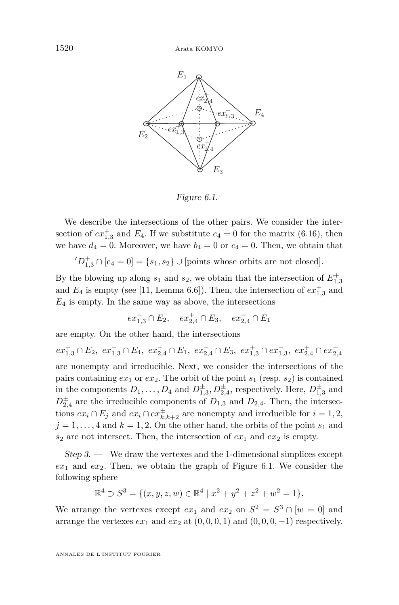<span id="page-28-0"></span>

Figure 6.1 Figure 6.1.

We describe the intersections of the other pairs. We consider the intersection of  $ex_{1,3}^+$  and  $E_4$ . If we substitute  $e_4 = 0$  for the matrix [\(6.16\)](#page-26-0), then we have  $d_4 = 0$ . Moreover, we have  $b_4 = 0$  or  $c_4 = 0$ . Then, we obtain that

 $(D_{1,3}^+ \cap [e_4 = 0] = \{s_1, s_2\} \cup [\text{points whose orbits are not closed}].$ 

By the blowing up along  $s_1$  and  $s_2$ , we obtain that the intersection of  $E_{1,3}^+$ and  $E_4$  is empty (see [\[11,](#page-30-0) Lemma 6.6]). Then, the intersection of  $ex_{1,3}^+$  and  $E_4$  is empty. In the same way as above, the intersections  $E_4$ 

$$
ex_{1,3}^- \cap E_2, \quad ex_{2,4}^+ \cap E_3, \quad ex_{2,4}^- \cap E_1
$$

are empty. On the other hand, the intersections  $\;$ 

 $ex^+_{1,3}\cap E_2,\ ex^-_{1,3}\cap E_4,\ ex^+_{2,4}\cap E_1,\ ex^-_{2,4}\cap E_3,\ ex^+_{1,3}\cap ex^-_{1,3},\ ex^+_{2,4}\cap ex^-_{2,4}$ 1,3. The intersections of the intersections of the intersections of the intersections of the pairs containing *ex*<sub>1</sub> or *ex*<sub>2</sub>. The orbit of the point  $s_1$  (resp.  $s_2$ ) is contained pairs containing e.g. or e.g. The orbit of the point  $s_1$  (resp.  $s_2$ ) is contained<br>in the components  $D_1, \ldots, D_4$  and  $D_{1,3}^{\pm}, D_{2,4}^{\pm}$ , respectively. Here,  $D_{1,3}^{\pm}$  and  $D_{2,4}^{\pm}$  are the irreducible components of  $D_{1,3}$  and  $D_{2,4}$ . Then, the intersections  $ex_i \cap E_j$  and  $ex_i \cap ex_{k,k+2}^{\pm}$  are nonempty and irreducible for  $i = 1, 2$ ,  $j = 1, \ldots, 4$  and  $k = 1, 2$ . On the other hand, the orbits of the point *s*<sub>1</sub> and  $s_2$  are not intersect. Then, the intersection of  $ex_1$  and  $ex_2$  is empty.

 $Step 3.$  — We draw the vertexes and the 1-dimensional simplices except  $ex_1$  and  $ex_2$ . Then, we obtain the graph of Figure 6.1. We consider the following sphere. Then, we obtain that the complex of  $\mathcal{L}$  is a simplicial simplicial simplicial simplicial simplicial simplicial simplicial simplicial simplicial simplicial simplicial simplicial simplicial simplicial

$$
\mathbb{R}^4 \supset S^3 = \{ (x, y, z, w) \in \mathbb{R}^4 \mid x^2 + y^2 + z^2 + w^2 = 1 \}.
$$

ponents of the boundary divisor containing  $\alpha^2$  and  $\alpha^2$  and  $\alpha^3$ We arrange the vertexes except  $ex_1$  and  $ex_2$  on  $S^2 = S^3 \cap [w = 0]$  and arrange the vertexes  $ex_1$  and  $ex_2$  at  $(0, 0, 0, 1)$  and  $(0, 0, 0, -1)$  respectively.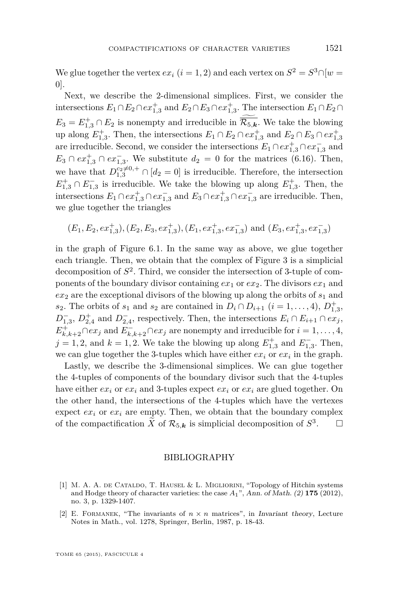<span id="page-29-0"></span>We glue together the vertex  $ex_i$   $(i = 1, 2)$  and each vertex on  $S^2 = S^3 \cap [w = 1]$ 0].

Next, we describe the 2-dimensional simplices. First, we consider the intersections  $E_1 \cap E_2 \cap ex_{1,3}^+$  and  $E_2 \cap E_3 \cap ex_{1,3}^+$ . The intersection  $E_1 \cap E_2 \cap$  $E_3 = E_{1,3}^+ \cap E_2$  is nonempty and irreducible in  $\overline{\mathcal{R}_{5,k}}$ . We take the blowing up along  $E_{1,3}^+$ . Then, the intersections  $E_1 \cap E_2 \cap ex_{1,3}^+$  and  $E_2 \cap E_3 \cap ex_{1,3}^+$ are irreducible. Second, we consider the intersections  $E_1 \cap ex_{1,3}^+ \cap ex_{1,3}^-$  and  $E_3 \cap ex_{1,3}^+ \cap ex_{1,3}^-$ . We substitute  $d_2 = 0$  for the matrices [\(6.16\)](#page-26-0). Then, we have that  $D_{1,3}^{c_2 \neq 0,+} \cap [d_2 = 0]$  is irreducible. Therefore, the intersection  $E_{1,3}^+ \cap E_{1,3}^-$  is irreducible. We take the blowing up along  $E_{1,3}^+$ . Then, the intersections  $E_1 \cap ex_{1,3}^+ \cap ex_{1,3}^-$  and  $E_3 \cap ex_{1,3}^+ \cap ex_{1,3}^-$  are irreducible. Then, we glue together the triangles

$$
(E_1, E_2, ex_{1,3}^+), (E_2, E_3, ex_{1,3}^+), (E_1, ex_{1,3}^+, ex_{1,3}^-)
$$
 and  $(E_3, ex_{1,3}^+, ex_{1,3}^-)$ 

in the graph of Figure [6.1.](#page-28-0) In the same way as above, we glue together each triangle. Then, we obtain that the complex of Figure 3 is a simplicial decomposition of  $S^2$ . Third, we consider the intersection of 3-tuple of components of the boundary divisor containing  $ex_1$  or  $ex_2$ . The divisors  $ex_1$  and  $ex_2$  are the exceptional divisors of the blowing up along the orbits of  $s_1$  and *s*<sub>2</sub>. The orbits of *s*<sub>1</sub> and *s*<sub>2</sub> are contained in  $D_i \cap D_{i+1}$  (*i* = 1, . . . , 4),  $D_{1,3}^+$ ,  $D_{1,3}^-$ ,  $D_{2,4}^+$  and  $D_{2,4}^-$ , respectively. Then, the intersections  $E_i \cap E_{i+1} \cap ex_j$ ,  $E_{k,k+2}^+ \cap ex_j$  and  $E_{k,k+2}^- \cap ex_j$  are nonempty and irreducible for  $i = 1, \ldots, 4$ ,  $j = 1, 2$ , and  $k = 1, 2$ . We take the blowing up along  $E_{1,3}^{+}$  and  $E_{1,3}^{-}$ . Then, we can glue together the 3-tuples which have either  $ex_i$  or  $ex_i$  in the graph.

Lastly, we describe the 3-dimensional simplices. We can glue together the 4-tuples of components of the boundary divisor such that the 4-tuples have either  $ex_i$  or  $ex_i$  and 3-tuples expect  $ex_i$  or  $ex_i$  are glued together. On the other hand, the intersections of the 4-tuples which have the vertexes expect  $ex_i$  or  $ex_i$  are empty. Then, we obtain that the boundary complex of the compactification  $\tilde{X}$  of  $\mathcal{R}_{5,k}$  is simplicial decomposition of  $S^3$  $\Box$ 

#### BIBLIOGRAPHY

- [1] M. A. A. de Cataldo, T. Hausel & L. Migliorini, "Topology of Hitchin systems and Hodge theory of character varieties: the case *A*1", Ann. of Math. (2) **175** (2012), no. 3, p. 1329-1407.
- [2] E. FORMANEK, "The invariants of  $n \times n$  matrices", in Invariant theory, Lecture Notes in Math., vol. 1278, Springer, Berlin, 1987, p. 18-43.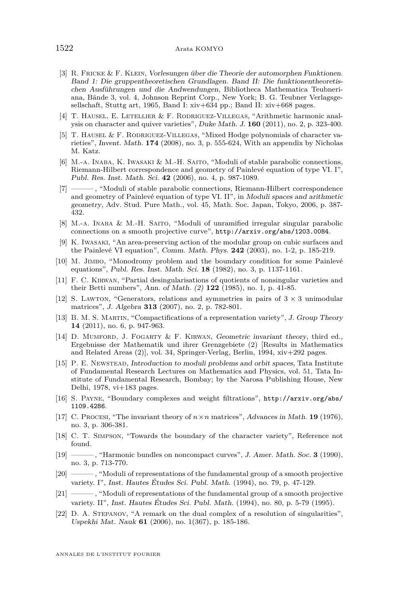- <span id="page-30-0"></span>[3] R. Fricke & F. Klein, Vorlesungen über die Theorie der automorphen Funktionen. Band 1: Die gruppentheoretischen Grundlagen. Band II: Die funktionentheoretischen Ausführungen und die Andwendungen, Bibliotheca Mathematica Teubneriana, Bände 3, vol. 4, Johnson Reprint Corp., New York; B. G. Teubner Verlagsgesellschaft, Stuttg art, 1965, Band I: xiv+634 pp.; Band II: xiv+668 pages.
- [4] T. HAUSEL, E. LETELLIER & F. RODRIGUEZ-VILLEGAS, "Arithmetic harmonic analysis on character and quiver varieties", Duke Math. J. **160** (2011), no. 2, p. 323-400.
- [5] T. Hausel & F. Rodriguez-Villegas, "Mixed Hodge polynomials of character varieties", Invent. Math. **174** (2008), no. 3, p. 555-624, With an appendix by Nicholas M. Katz.
- [6] M.-a. Inaba, K. Iwasaki & M.-H. Saito, "Moduli of stable parabolic connections, Riemann-Hilbert correspondence and geometry of Painlevé equation of type VI. I", Publ. Res. Inst. Math. Sci. **42** (2006), no. 4, p. 987-1089.
- $-$ , "Moduli of stable parabolic connections, Riemann-Hilbert correspondence and geometry of Painlevé equation of type VI. II", in Moduli spaces and arithmetic geometry, Adv. Stud. Pure Math., vol. 45, Math. Soc. Japan, Tokyo, 2006, p. 387- 432.
- [8] M.-a. Inaba & M.-H. Saito, "Moduli of unramified irregular singular parabolic connections on a smooth projective curve", <http://arxiv.org/abs/1203.0084>.
- [9] K. Iwasaki, "An area-preserving action of the modular group on cubic surfaces and the Painlevé VI equation", Comm. Math. Phys. **242** (2003), no. 1-2, p. 185-219.
- [10] M. Jimbo, "Monodromy problem and the boundary condition for some Painlevé equations", Publ. Res. Inst. Math. Sci. **18** (1982), no. 3, p. 1137-1161.
- [11] F. C. Kirwan, "Partial desingularisations of quotients of nonsingular varieties and their Betti numbers", Ann. of Math. (2) **122** (1985), no. 1, p. 41-85.
- [12] S. Lawton, "Generators, relations and symmetries in pairs of  $3 \times 3$  unimodular matrices", J. Algebra **313** (2007), no. 2, p. 782-801.
- [13] B. M. S. Martin, "Compactifications of a representation variety", J. Group Theory **14** (2011), no. 6, p. 947-963.
- [14] D. MUMFORD, J. FOGARTY & F. KIRWAN, Geometric invariant theory, third ed., Ergebnisse der Mathematik und ihrer Grenzgebiete (2) [Results in Mathematics and Related Areas (2)], vol. 34, Springer-Verlag, Berlin, 1994, xiv+292 pages.
- [15] P. E. Newstead, Introduction to moduli problems and orbit spaces, Tata Institute of Fundamental Research Lectures on Mathematics and Physics, vol. 51, Tata Institute of Fundamental Research, Bombay; by the Narosa Publishing House, New Delhi, 1978, vi+183 pages.
- [16] S. Payne, "Boundary complexes and weight filtrations", [http://arxiv.org/abs/](http://arxiv.org/abs/1109.4286) [1109.4286](http://arxiv.org/abs/1109.4286).
- [17] C. Procesi, "The invariant theory of *n*×*n* matrices", Advances in Math. **19** (1976), no. 3, p. 306-381.
- [18] C. T. Simpson, "Towards the boundary of the character variety", Reference not found.
- [19] ——— , "Harmonic bundles on noncompact curves", J. Amer. Math. Soc. **3** (1990), no. 3, p. 713-770.
- [20] ——— , "Moduli of representations of the fundamental group of a smooth projective variety. I", Inst. Hautes Études Sci. Publ. Math. (1994), no. 79, p. 47-129.
- [21] ——— , "Moduli of representations of the fundamental group of a smooth projective variety. II", Inst. Hautes Études Sci. Publ. Math. (1994), no. 80, p. 5-79 (1995).
- [22] D. A. Stepanov, "A remark on the dual complex of a resolution of singularities", Uspekhi Mat. Nauk **61** (2006), no. 1(367), p. 185-186.